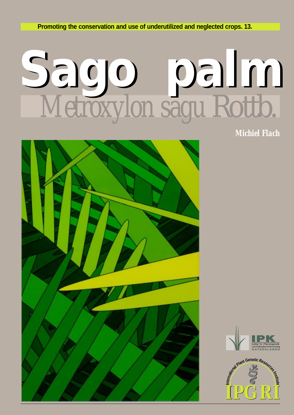**Promoting the conservation and use of underutilized and neglected crops. 13. 1 Promoting the conservation and use of underutilized and neglected crops. 13.**

# **Sago palm Sago palm** *Metroxylon sagu* Rottb.

*Michiel Flach*





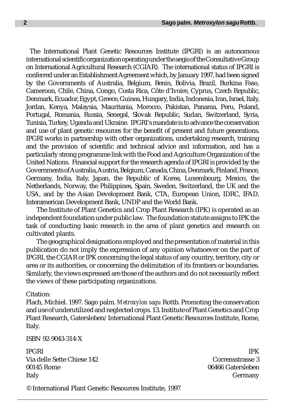The International Plant Genetic Resources Institute (IPGRI) is an autonomous international scientific organization operating under the aegis of the Consultative Group on International Agricultural Research (CGIAR). The international status of IPGRI is conferred under an Establishment Agreement which, by January 1997, had been signed by the Governments of Australia, Belgium, Benin, Bolivia, Brazil, Burkina Faso, Cameroon, Chile, China, Congo, Costa Rica, Côte d'Ivoire, Cyprus, Czech Republic, Denmark, Ecuador, Egypt, Greece, Guinea, Hungary, India, Indonesia, Iran, Israel, Italy, Jordan, Kenya, Malaysia, Mauritania, Morocco, Pakistan, Panama, Peru, Poland, Portugal, Romania, Russia, Senegal, Slovak Republic, Sudan, Switzerland, Syria, Tunisia, Turkey, Uganda and Ukraine. IPGRI's mandate is to advance the conservation and use of plant genetic resources for the benefit of present and future generations. IPGRI works in partnership with other organizations, undertaking research, training and the provision of scientific and technical advice and information, and has a particularly strong programme link with the Food and Agriculture Organization of the United Nations. Financial support for the research agenda of IPGRI is provided by the Governments of Australia, Austria, Belgium, Canada, China, Denmark, Finland, France, Germany, India, Italy, Japan, the Republic of Korea, Luxembourg, Mexico, the Netherlands, Norway, the Philippines, Spain, Sweden, Switzerland, the UK and the USA, and by the Asian Development Bank, CTA, European Union, IDRC, IFAD, Interamerican Development Bank, UNDP and the World Bank.

The Institute of Plant Genetics and Crop Plant Research (IPK) is operated as an independent foundation under public law. The foundation statute assigns to IPK the task of conducting basic research in the area of plant genetics and research on cultivated plants.

The geographical designations employed and the presentation of material in this publication do not imply the expression of any opinion whatsoever on the part of IPGRI, the CGIAR or IPK concerning the legal status of any country, territory, city or area or its authorities, or concerning the delimitation of its frontiers or boundaries. Similarly, the views expressed are those of the authors and do not necessarily reflect the views of these participating organizations.

## Citation:

Flach, Michiel. 1997. Sago palm. *Metroxylon sagu* Rottb. Promoting the conservation and use of underutilized and neglected crops. 13. Institute of Plant Genetics and Crop Plant Research, Gatersleben/International Plant Genetic Resources Institute, Rome, Italy.

ISBN 92-9043-314-X

IPGRI 1996 - IPK 1996 - IPK 1996 - IPK 1996 - IPK 1996 - IPK 1997 - IPK 1997 - IPK 1997 - IPK Via delle Sette Chiese 142 Corrensstrasse 3 00145 Rome 06466 Gatersleben Italy Germany

© International Plant Genetic Resources Institute, 1997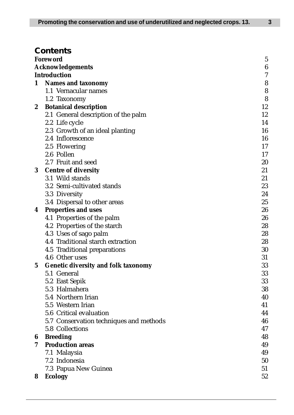# **Contents**

|          | ,,,,,,,,,,                                 |                  |
|----------|--------------------------------------------|------------------|
|          | Foreword                                   | $\overline{5}$   |
|          | <b>Acknowledgements</b>                    | $\boldsymbol{6}$ |
|          | <b>Introduction</b>                        | $\overline{7}$   |
| 1        | <b>Names and taxonomy</b>                  | 8                |
|          | 1.1 Vernacular names                       | 8                |
|          | 1.2 Taxonomy                               | 8                |
| 2        | <b>Botanical description</b>               | 12               |
|          | 2.1 General description of the palm        | 12               |
|          | 2.2 Life cycle                             | 14               |
|          | 2.3 Growth of an ideal planting            | 16               |
|          | 2.4 Inflorescence                          | 16               |
|          | 2.5 Flowering                              | 17               |
|          | 2.6 Pollen                                 | 17               |
|          | 2.7 Fruit and seed                         | 20               |
| $\bf{3}$ | <b>Centre of diversity</b>                 | 21               |
|          | 3.1 Wild stands                            | 21               |
|          | 3.2 Semi-cultivated stands                 | 23               |
|          | 3.3 Diversity                              | 24               |
|          | 3.4 Dispersal to other areas               | 25               |
| 4        | <b>Properties and uses</b>                 | 26               |
|          | 4.1 Properties of the palm                 | 26               |
|          | 4.2 Properties of the starch               | 28               |
|          | 4.3 Uses of sago palm                      | 28               |
|          | 4.4 Traditional starch extraction          | 28               |
|          | 4.5 Traditional preparations               | 30               |
|          | 4.6 Other uses                             | 31               |
| $\bf 5$  | <b>Genetic diversity and folk taxonomy</b> | 33               |
|          | 5.1 General                                | 33               |
|          | 5.2 East Sepik                             | 33               |
|          | 5.3 Halmahera                              | 38               |
|          | 5.4 Northern Irian                         | 40               |
|          | 5.5 Western Irian                          | 41               |
|          | 5.6 Critical evaluation                    | 44               |
|          | 5.7 Conservation techniques and methods    | 46               |
|          | 5.8 Collections                            | 47               |
| 6        | <b>Breeding</b>                            | 48               |
| 7        | <b>Production areas</b>                    | 49               |
|          | 7.1 Malaysia                               | 49               |
|          | 7.2 Indonesia                              | 50               |
|          | 7.3 Papua New Guinea                       | 51               |
| 8        | <b>Ecology</b>                             | 52               |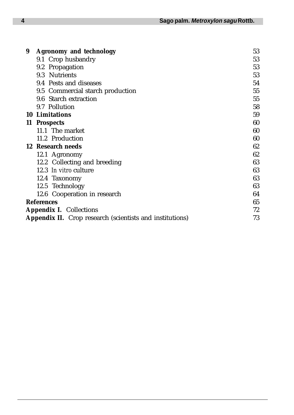| 9 | <b>Agronomy and technology</b>                           | 53 |
|---|----------------------------------------------------------|----|
|   | 9.1 Crop husbandry                                       | 53 |
|   | 9.2 Propagation                                          | 53 |
|   | 9.3 Nutrients                                            | 53 |
|   | 9.4 Pests and diseases                                   | 54 |
|   | 9.5 Commercial starch production                         | 55 |
|   | 9.6 Starch extraction                                    | 55 |
|   | 9.7 Pollution                                            | 58 |
|   | 10 Limitations                                           | 59 |
|   | 11 Prospects                                             | 60 |
|   | 11.1 The market                                          | 60 |
|   | 11.2 Production                                          | 60 |
|   | 12 Research needs                                        | 62 |
|   | 12.1 Agronomy                                            | 62 |
|   | 12.2 Collecting and breeding                             | 63 |
|   | 12.3 In vitro culture                                    | 63 |
|   | 12.4 Taxonomy                                            | 63 |
|   | 12.5 Technology                                          | 63 |
|   | 12.6 Cooperation in research                             | 64 |
|   | <b>References</b>                                        | 65 |
|   | <b>Appendix I. Collections</b>                           | 72 |
|   | Appendix II. Crop research (scientists and institutions) | 73 |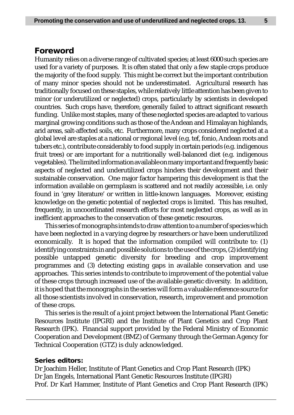## **Foreword**

Humanity relies on a diverse range of cultivated species; at least 6000 such species are used for a variety of purposes. It is often stated that only a few staple crops produce the majority of the food supply. This might be correct but the important contribution of many minor species should not be underestimated. Agricultural research has traditionally focused on these staples, while relatively little attention has been given to minor (or underutilized or neglected) crops, particularly by scientists in developed countries. Such crops have, therefore, generally failed to attract significant research funding. Unlike most staples, many of these neglected species are adapted to various marginal growing conditions such as those of the Andean and Himalayan highlands, arid areas, salt-affected soils, etc. Furthermore, many crops considered neglected at a global level are staples at a national or regional level (e.g. tef, fonio, Andean roots and tubers etc.), contribute considerably to food supply in certain periods (e.g. indigenous fruit trees) or are important for a nutritionally well-balanced diet (e.g. indigenous vegetables). The limited information available on many important and frequently basic aspects of neglected and underutilized crops hinders their development and their sustainable conservation. One major factor hampering this development is that the information available on germplasm is scattered and not readily accessible, i.e. only found in 'grey literature' or written in little-known languages. Moreover, existing knowledge on the genetic potential of neglected crops is limited. This has resulted, frequently, in uncoordinated research efforts for most neglected crops, as well as in inefficient approaches to the conservation of these genetic resources.

This series of monographs intends to draw attention to a number of species which have been neglected in a varying degree by researchers or have been underutilized economically. It is hoped that the information compiled will contribute to: (1) identifying constraints in and possible solutions to the use of the crops, (2) identifying possible untapped genetic diversity for breeding and crop improvement programmes and (3) detecting existing gaps in available conservation and use approaches. This series intends to contribute to improvement of the potential value of these crops through increased use of the available genetic diversity. In addition, it is hoped that the monographs in the series will form a valuable reference source for all those scientists involved in conservation, research, improvement and promotion of these crops.

This series is the result of a joint project between the International Plant Genetic Resources Institute (IPGRI) and the Institute of Plant Genetics and Crop Plant Research (IPK). Financial support provided by the Federal Ministry of Economic Cooperation and Development (BMZ) of Germany through the German Agency for Technical Cooperation (GTZ) is duly acknowledged.

## **Series editors:**

Dr Joachim Heller, Institute of Plant Genetics and Crop Plant Research (IPK) Dr Jan Engels, International Plant Genetic Resources Institute (IPGRI) Prof. Dr Karl Hammer, Institute of Plant Genetics and Crop Plant Research (IPK)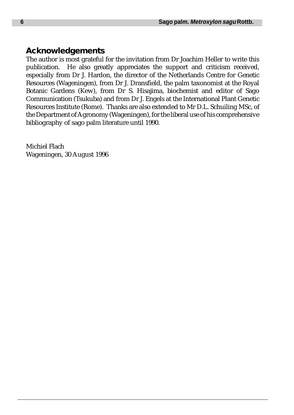# **Acknowledgements**

The author is most grateful for the invitation from Dr Joachim Heller to write this publication. He also greatly appreciates the support and criticism received, especially from Dr J. Hardon, the director of the Netherlands Centre for Genetic Resources (Wageningen), from Dr J. Dransfield, the palm taxonomist at the Royal Botanic Gardens (Kew), from Dr S. Hisajima, biochemist and editor of Sago Communication (Tsukuba) and from Dr J. Engels at the International Plant Genetic Resources Institute (Rome). Thanks are also extended to Mr D.L. Schuiling MSc, of the Department of Agronomy (Wageningen), for the liberal use of his comprehensive bibliography of sago palm literature until 1990.

Michiel Flach Wageningen, 30 August 1996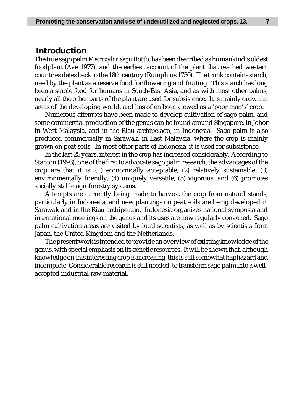## **Introduction**

The true sago palm *Metroxylon sagu* Rottb. has been described as humankind's oldest foodplant (Avé 1977), and the earliest account of the plant that reached western countries dates back to the 18th century (Rumphius 1750). The trunk contains starch, used by the plant as a reserve food for flowering and fruiting. This starch has long been a staple food for humans in South-East Asia, and as with most other palms, nearly all the other parts of the plant are used for subsistence. It is mainly grown in areas of the developing world, and has often been viewed as a 'poor man's' crop.

Numerous attempts have been made to develop cultivation of sago palm, and some commercial production of the genus can be found around Singapore, in Johor in West Malaysia, and in the Riau archipelago, in Indonesia. Sago palm is also produced commercially in Sarawak, in East Malaysia, where the crop is mainly grown on peat soils. In most other parts of Indonesia, it is used for subsistence.

In the last 25 years, interest in the crop has increased considerably. According to Stanton (1993), one of the first to advocate sago palm research, the advantages of the crop are that it is: (1) economically acceptable; (2) relatively sustainable; (3) environmentally friendly; (4) uniquely versatile; (5) vigorous, and (6) promotes socially stable agroforestry systems.

Attempts are currently being made to harvest the crop from natural stands, particularly in Indonesia, and new plantings on peat soils are being developed in Sarawak and in the Riau archipelago. Indonesia organizes national symposia and international meetings on the genus and its uses are now regularly convened. Sago palm cultivation areas are visited by local scientists, as well as by scientists from Japan, the United Kingdom and the Netherlands.

The present work is intended to provide an overview of existing knowledge of the genus, with special emphasis on its genetic resources. It will be shown that, although knowledge on this interesting crop is increasing, this is still somewhat haphazard and incomplete. Considerable research is still needed, to transform sago palm into a wellaccepted industrial raw material.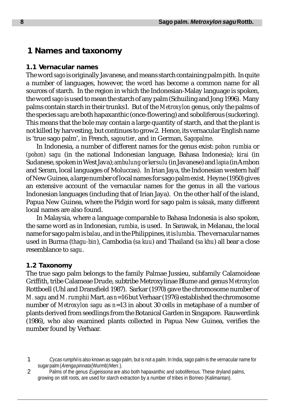# **1 Names and taxonomy**

## **1.1 Vernacular names**

The word *sago* is originally Javanese, and means starch containing palm pith. In quite a number of languages, however, the word has become a common name for all sources of starch. In the region in which the Indonesian-Malay language is spoken, the word *sago* is used to mean the starch of any palm (Schuiling and Jong 1996). Many palms contain starch in their trunks1. But of the *Metroxylon* genus, only the palms of the species *sagu* are both hapaxanthic (once-flowering) and soboliferous (suckering). This means that the bole may contain a large quantity of starch, and that the plant is not killed by harvesting, but continues to grow2. Hence, its vernacular English name is 'true sago palm', in French, *sagoutier*, and in German, *Sagopalme*.

In Indonesia, a number of different names for the genus exist: *pohon rumbia* or *(pohon) sagu* (in the national Indonesian language, Bahasa Indonesia); *kirai* (in Sudanese, spoken in West Java); *ambulung* or *kersulu* (in Javanese) and *lapia* (in Ambon and Seram, local languages of Moluccas). In Irian Jaya, the Indonesian western half of New Guinea, a large number of local names for sago palm exist. Heyne (1950) gives an extensive account of the vernacular names for the genus in all the various Indonesian languages (including that of Irian Jaya). On the other half of the island, Papua New Guinea, where the Pidgin word for sago palm is *saksak*, many different local names are also found.

In Malaysia, where a language comparable to Bahasa Indonesia is also spoken, the same word as in Indonesian, *rumbia*, is used. In Sarawak, in Melanau, the local name for sago palm is *balau*, and in the Philippines, it is *lumbia*. The vernacular names used in Burma (*thagu-bin*), Cambodia (*sa kuu*) and Thailand (*sa khu*) all bear a close resemblance to *sagu*.

## **1.2 Taxonomy**

The true sago palm belongs to the family Palmae Jussieu, subfamily Calamoideae Griffith, tribe Calameae Drude, subtribe Metroxylinae Blume and genus *Metroxylon* Rottboell (Uhl and Dransfield 1987). Sarkar (1970) gave the chromosome number of *M. sagu* and *M. rumphii* Mart. as *n*=16 but Verhaar (1976) established the chromosome number of *Metroxylon sagu* as *n*=13 in about 30 cells in metaphase of a number of plants derived from seedlings from the Botanical Garden in Singapore. Rauwerdink (1986), who also examined plants collected in Papua New Guinea, verifies the number found by Verhaar.

1 Cycas rumphii is also known as sago palm, but is not a palm. In India, sago palm is the vernacular name for sugar palm (Arenga pinnata (Wurmb) Merr.).

2 Palms of the genus Eugeissona are also both hapaxanthic and soboliferous. These dryland palms, growing on stilt roots, are used for starch extraction by a number of tribes in Borneo (Kalimantan).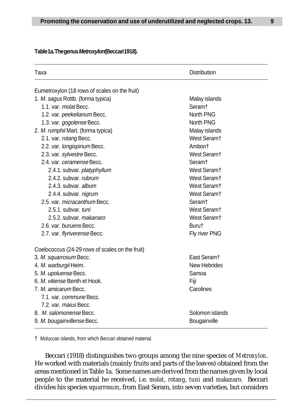#### **Table 1a. The genus Metroxylon (Beccari 1918).**

| Taxa                                            | <b>Distribution</b>     |  |  |
|-------------------------------------------------|-------------------------|--|--|
| Eumetroxylon (18 rows of scales on the fruit)   |                         |  |  |
| 1. M. sagus Rottb. (forma typica)               | Malay islands           |  |  |
| 1.1. var. molat Becc.                           | Seram†                  |  |  |
| 1.2. var. peekelianum Becc.                     | North PNG               |  |  |
| 1.3. var. gogolense Becc.                       | North PNG               |  |  |
| 2. M. rumphii Mart. (forma typica)              | Malay islands           |  |  |
| 2.1. var. rotang Becc.                          | West Seram <sup>+</sup> |  |  |
| 2.2. var. longispinum Becc.                     | Ambont                  |  |  |
| 2.3. var. sylvestre Becc.                       | West Seram <sup>+</sup> |  |  |
| 2.4. var. ceramense Becc.                       | Seram†                  |  |  |
| 2.4.1. subvar. platyphyllum                     | West Seram <sup>+</sup> |  |  |
| 2.4.2. subvar, rubrum                           | West Seram <sup>+</sup> |  |  |
| 2.4.3. subvar, album                            | West Seram <sup>+</sup> |  |  |
| 2.4.4. subvar. nigrum                           | West Seram <sup>+</sup> |  |  |
| 2.5. var. micracanthum Becc.                    | Seram <sup>+</sup>      |  |  |
| 2.5.1. subvar. tuni                             | West Seram <sup>+</sup> |  |  |
| 2.5.2. subvar, makanaro                         | West Seram <sup>+</sup> |  |  |
| 2.6. var. buruens Becc.                         | Burut                   |  |  |
| 2.7. var. flyriverense Becc.                    | Fly river PNG           |  |  |
| Coelococcus (24-29 rows of scales on the fruit) |                         |  |  |
| 3. M. squarrosum Becc.                          | East Seram <sup>+</sup> |  |  |
| 4. M. warburgii Heim.                           | New Hebrides            |  |  |
| 5. M. upoluense Becc.                           | Samoa                   |  |  |
| 6. M. vitiense Benth et Hook.                   | Fiji                    |  |  |
| 7. M. amicarum Becc.                            | Carolines               |  |  |
| 7.1. var. <i>commune</i> Becc.                  |                         |  |  |
| 7.2. var. maius Becc.                           |                         |  |  |
| 8. M. salomonense Becc.                         | Solomon islands         |  |  |
| 9. M. bougainvillense Becc.                     | Bougainville            |  |  |

† Moluccan islands, from which Beccari obtained material.

Beccari (1918) distinguishes two groups among the nine species of *Metroxylon*. He worked with materials (mainly fruits and parts of the leaves) obtained from the areas mentioned in Table 1a. Some names are derived from the names given by local people to the material he received, i.e. *molat*, *rotang*, *tuni* and *makanaro*. Beccari divides his species *squarrosum*, from East Seram, into seven varieties, but considers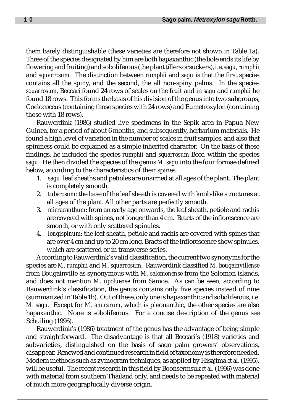them barely distinguishable (these varieties are therefore not shown in Table 1a). Three of the species designated by him are both hapaxanthic (the bole ends its life by flowering and fruiting) and soboliferous (the plant tillers or suckers), i.e. *sagu, rumphii* and *squarrosum.* The distinction between *rumphii* and *sagu* is that the first species contains all the spiny, and the second, the all non-spiny palms. In the species *squarrosum*, Beccari found 24 rows of scales on the fruit and in *sagu* and *rumphii* he found 18 rows. This forms the basis of his division of the genus into two subgroups, Coelococcus (containing those species with 24 rows) and Eumetroxylon (containing those with 18 rows).

Rauwerdink (1986) studied live specimens in the Sepik area in Papua New Guinea, for a period of about 6 months, and subsequently, herbarium materials. He found a high level of variation in the number of scales in fruit samples, and also that spininess could be explained as a simple inherited character. On the basis of these findings, he included the species *rumphii* and *squarrosum* Becc. within the species *sagu*. He then divided the species of the genus *M. sagu* into the four formae defined below, according to the characteristics of their spines.

- 1. *sagu*: leaf sheaths and petioles are unarmed at all ages of the plant. The plant is completely smooth.
- 2. *tuberosum*: the base of the leaf sheath is covered with knob-like structures at all ages of the plant. All other parts are perfectly smooth.
- 3. *micracanthum*: from an early age onwards, the leaf sheath, petiole and rachis are covered with spines, not longer than 4 cm. Bracts of the inflorescence are smooth, or with only scattered spinules.
- 4. *longispinum:* the leaf sheath, petiole and rachis are covered with spines that are over 4 cm and up to 20 cm long. Bracts of the inflorescence show spinules, which are scattered or in transverse series.

According to Rauwerdink's valid classification, the current two synonyms for the species are *M. rumphii* and *M. squarrosum*. Rauwerdink classified *M. bougainvillense* from Bougainville as synonymous with *M. salomonense* from the Solomon islands, and does not mention *M. upoluense* from Samoa. As can be seen, according to Rauwerdink's classification, the genus contains only five species instead of nine (summarized in Table 1b). Out of these, only one is hapaxanthic and soboliferous, i.e. *M. sagu*. Except for *M. amicarum*, which is pleonanthic, the other species are also hapaxanthic. None is soboliferous. For a concise description of the genus see Schuiling (1996).

Rauwerdink's (1986) treatment of the genus has the advantage of being simple and straightforward. The disadvantage is that all Beccari's (1918) varieties and subvarieties, distinguished on the basis of sago palm growers' observations, disappear. Renewed and continued research in field of taxonomy is therefore needed. Modern methods such as zymogram techniques, as applied by Hisajima *et al.* (1995), will be useful. The recent research in this field by Boonsermsuk *et al.* (1996) was done with material from southern Thailand only, and needs to be repeated with material of much more geographically diverse origin.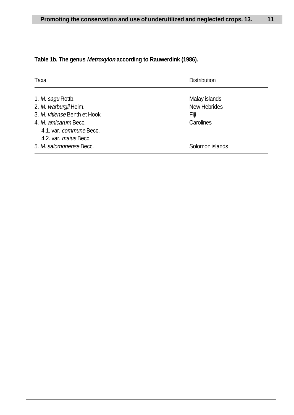| Taxa                                                                     | <b>Distribution</b> |
|--------------------------------------------------------------------------|---------------------|
| 1. M. sagu Rottb.                                                        | Malay islands       |
| 2. M. warburgii Heim.                                                    | <b>New Hebrides</b> |
| 3. M. vitiense Benth et Hook                                             | Fiji                |
| 4. M. amicarum Becc.<br>4.1. var. commune Becc.<br>4.2. var. maius Becc. | Carolines           |
| 5. M. salomonense Becc.                                                  | Solomon islands     |

# **Table 1b. The genus Metroxylon according to Rauwerdink (1986).**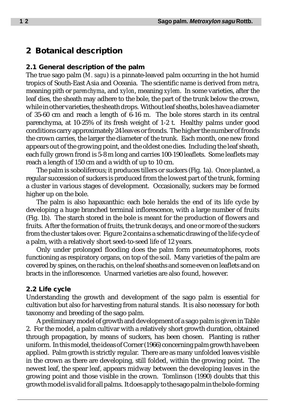# **2 Botanical description**

## **2.1 General description of the palm**

The true sago palm (*M. sagu*) is a pinnate-leaved palm occurring in the hot humid tropics of South-East Asia and Oceania. The scientific name is derived from *metra*, meaning pith or *parenchyma*, and *xylon*, meaning *xylem*. In some varieties, after the leaf dies, the sheath may adhere to the bole, the part of the trunk below the crown, while in other varieties, the sheath drops. Without leaf sheaths, boles have a diameter of 35-60 cm and reach a length of 6-16 m. The bole stores starch in its central parenchyma, at 10-25% of its fresh weight of 1-2 t. Healthy palms under good conditions carry approximately 24 leaves or fronds. The higher the number of fronds the crown carries, the larger the diameter of the trunk. Each month, one new frond appears out of the growing point, and the oldest one dies. Including the leaf sheath, each fully grown frond is 5-8 m long and carries 100-190 leaflets. Some leaflets may reach a length of 150 cm and a width of up to 10 cm.

The palm is soboliferous; it produces tillers or suckers (Fig. 1a). Once planted, a regular succession of suckers is produced from the lowest part of the trunk, forming a cluster in various stages of development. Occasionally, suckers may be formed higher up on the bole.

The palm is also hapaxanthic: each bole heralds the end of its life cycle by developing a huge branched terminal inflorescence, with a large number of fruits (Fig. 1b). The starch stored in the bole is meant for the production of flowers and fruits. After the formation of fruits, the trunk decays, and one or more of the suckers from the cluster takes over. Figure 2 contains a schematic drawing of the life cycle of a palm, with a relatively short seed-to-seed life of 12 years.

Only under prolonged flooding does the palm form pneumatophores, roots functioning as respiratory organs, on top of the soil. Many varieties of the palm are covered by spines, on the rachis, on the leaf sheaths and some even on leaflets and on bracts in the inflorescence. Unarmed varieties are also found, however.

## **2.2 Life cycle**

Understanding the growth and development of the sago palm is essential for cultivation but also for harvesting from natural stands. It is also necessary for both taxonomy and breeding of the sago palm.

A preliminary model of growth and development of a sago palm is given in Table 2. For the model, a palm cultivar with a relatively short growth duration, obtained through propagation, by means of suckers, has been chosen. Planting is rather uniform. In this model, the ideas of Corner (1966) concerning palm growth have been applied. Palm growth is strictly regular. There are as many unfolded leaves visible in the crown as there are developing, still folded, within the growing point. The newest leaf, the spear leaf, appears midway between the developing leaves in the growing point and those visible in the crown. Tomlinson (1990) doubts that this growth model is valid for all palms. It does apply to the sago palm in the bole-forming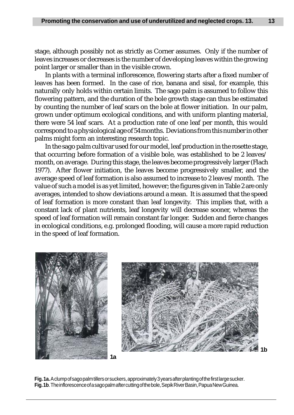stage, although possibly not as strictly as Corner assumes. Only if the number of leaves increases or decreases is the number of developing leaves within the growing point larger or smaller than in the visible crown.

In plants with a terminal inflorescence, flowering starts after a fixed number of leaves has been formed. In the case of rice, banana and sisal, for example, this naturally only holds within certain limits. The sago palm is assumed to follow this flowering pattern, and the duration of the bole growth stage can thus be estimated by counting the number of leaf scars on the bole at flower initiation. In our palm, grown under optimum ecological conditions, and with uniform planting material, there were 54 leaf scars. At a production rate of one leaf per month, this would correspond to a physiological age of 54 months. Deviations from this number in other palms might form an interesting research topic.

In the sago palm cultivar used for our model, leaf production in the rosette stage, that occurring before formation of a visible bole, was established to be 2 leaves/ month, on average. During this stage, the leaves become progressively larger (Flach 1977). After flower initiation, the leaves become progressively smaller, and the average speed of leaf formation is also assumed to increase to 2 leaves/month. The value of such a model is as yet limited, however; the figures given in Table 2 are only averages, intended to show deviations around a mean. It is assumed that the speed of leaf formation is more constant than leaf longevity. This implies that, with a constant lack of plant nutrients, leaf longevity will decrease sooner, whereas the speed of leaf formation will remain constant far longer. Sudden and fierce changes in ecological conditions, e.g. prolonged flooding, will cause a more rapid reduction in the speed of leaf formation.





**Fig. 1a.** A clump of sago palm tillers or suckers, approximately 3 years after planting of the first large sucker. **Fig. 1b**. The inflorescence of a sago palm after cutting of the bole, Sepik River Basin, Papua New Guinea.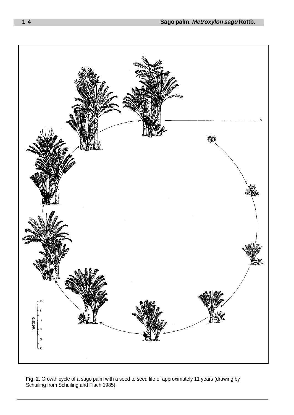

Fig. 2. Growth cycle of a sago palm with a seed to seed life of approximately 11 years (drawing by Schuiling from Schuiling and Flach 1985).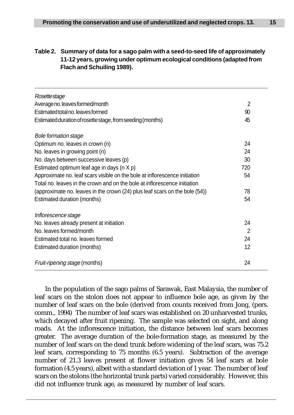## **Table 2. Summary of data for a sago palm with a seed-to-seed life of approximately 11-12 years, growing under optimum ecological conditions (adapted from Flach and Schuiling 1989).**

| Rosettestage                                                                |     |
|-----------------------------------------------------------------------------|-----|
| Average no. leaves formed/month                                             | 2   |
| Estimated total no. leaves formed                                           | 90  |
| Estimated duration of rosette stage, from seeding (months)                  | 45  |
| <b>Bole formation stage</b>                                                 |     |
| Optimum no. leaves in crown (n)                                             | 24  |
| No. leaves in growing point (n)                                             | 24  |
| No. days between successive leaves (p)                                      | 30  |
| Estimated optimum leaf age in days (n X p)                                  | 720 |
| Approximate no. leaf scars visible on the bole at inflorescence initiation  | 54  |
| Total no. leaves in the crown and on the bole at inflorescence initiation   |     |
| (approximate no. leaves in the crown (24) plus leaf scars on the bole (54)) | 78  |
| Estimated duration (months)                                                 | 54  |
| Inflorescence stage                                                         |     |
| No. leaves already present at initiation                                    | 24  |
| No. leaves formed/month                                                     | 2   |
| Estimated total no. leaves formed                                           | 24  |
| Estimated duration (months)                                                 | 12  |
| Fruit-ripening stage (months)                                               | 24  |

In the population of the sago palms of Sarawak, East Malaysia, the number of leaf scars on the stolon does not appear to influence bole age, as given by the number of leaf scars on the bole (derived from counts received from Jong, (pers. comm., 1994) The number of leaf scars was established on 20 unharvested trunks, which decayed after fruit ripening. The sample was selected on sight, and along roads. At the inflorescence initiation, the distance between leaf scars becomes greater. The average duration of the bole-formation stage, as measured by the number of leaf scars on the dead trunk before widening of the leaf scars, was 75.2 leaf scars, corresponding to 75 months (6.5 years). Subtraction of the average number of 21.3 leaves present at flower initiation gives 54 leaf scars at bole formation (4.5 years), albeit with a standard deviation of 1 year. The number of leaf scars on the stolons (the horizontal trunk parts) varied considerably. However, this did not influence trunk age, as measured by number of leaf scars.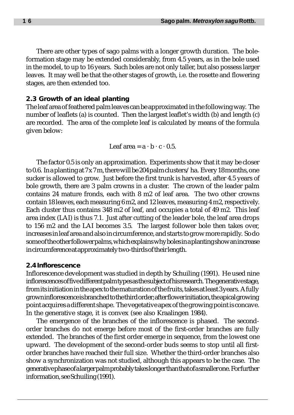There are other types of sago palms with a longer growth duration. The boleformation stage may be extended considerably, from 4.5 years, as in the bole used in the model, to up to 16 years. Such boles are not only taller, but also possess larger leaves. It may well be that the other stages of growth, i.e. the rosette and flowering stages, are then extended too.

## **2.3 Growth of an ideal planting**

The leaf area of feathered palm leaves can be approximated in the following way. The number of leaflets (a) is counted. Then the largest leaflet's width (b) and length (c) are recorded. The area of the complete leaf is calculated by means of the formula given below:

Leaf area  $= a \cdot b \cdot c \cdot 0.5$ .

The factor 0.5 is only an approximation. Experiments show that it may be closer to 0.6. In a planting at  $7 \times 7$  m, there will be 204 palm clusters/ha. Every 18 months, one sucker is allowed to grow. Just before the first trunk is harvested, after 4.5 years of bole growth, there are 3 palm crowns in a cluster. The crown of the leader palm contains 24 mature fronds, each with 8 m2 of leaf area. The two other crowns contain 18 leaves, each measuring 6 m2, and 12 leaves, measuring 4 m2, respectively. Each cluster thus contains 348 m2 of leaf, and occupies a total of 49 m2. This leaf area index (LAI) is thus 7.1. Just after cutting of the leader bole, the leaf area drops to 156 m2 and the LAI becomes 3.5. The largest follower bole then takes over, increases in leaf area and also in circumference, and starts to grow more rapidly. So do some of the other follower palms, which explains why boles in a planting show an increase in circumference at approximately two-thirds of their length.

## **2.4 Inflorescence**

Inflorescence development was studied in depth by Schuiling (1991). He used nine inflorescences of five different palm types as the subject of his research. The generative stage, from its initiation in the apex to the maturation of the fruits, takes at least 3 years. A fully grown inflorescence is branched to the third order; after flower initiation, the apical growing point acquires a different shape. The vegetative apex of the growing point is concave. In the generative stage, it is convex (see also Kraalingen 1984).

The emergence of the branches of the inflorescence is phased. The secondorder branches do not emerge before most of the first-order branches are fully extended. The branches of the first order emerge in sequence, from the lowest one upward. The development of the second-order buds seems to stop until all firstorder branches have reached their full size. Whether the third-order branches also show a synchronization was not studied, although this appears to be the case. The generative phase of a larger palm probably takes longer than that of a smaller one. For further information, see Schuiling (1991).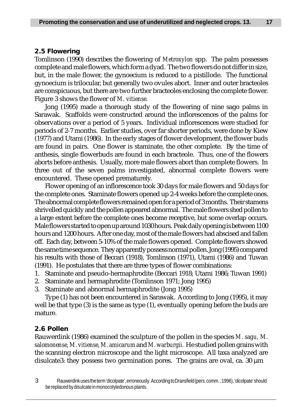## **2.5 Flowering**

Tomlinson (1990) describes the flowering of *Metroxylon* spp. The palm possesses complete and male flowers, which form a dyad. The two flowers do not differ in size, but, in the male flower, the gynoecium is reduced to a pistillode. The functional gynoecium is trilocular, but generally two ovules abort. Inner and outer bracteoles are conspicuous, but there are two further bracteoles enclosing the complete flower. Figure 3 shows the flower of *M. vitiense.*

Jong (1995) made a thorough study of the flowering of nine sago palms in Sarawak. Scaffolds were constructed around the inflorescences of the palms for observations over a period of 5 years. Individual inflorescences were studied for periods of 2-7 months. Earlier studies, over far shorter periods, were done by Kiew (1977) and Utami (1986). In the early stages of flower development, the flower buds are found in pairs. One flower is staminate, the other complete. By the time of anthesis, single flowerbuds are found in each bracteole. Thus, one of the flowers aborts before anthesis. Usually, more male flowers abort than complete flowers. In three out of the seven palms investigated, abnormal complete flowers were encountered. These opened prematurely.

Flower opening of an inflorescence took 30 days for male flowers and 50 days for the complete ones. Staminate flowers opened up 2-4 weeks before the complete ones. The abnormal complete flowers remained open for a period of 3 months. Their stamens shrivelled quickly and the pollen appeared abnormal. The male flowers shed pollen to a large extent before the complete ones become receptive, but some overlap occurs. Male flowers started to open up around 1030 hours. Peak daily opening is between 1100 hours and 1200 hours. After one day, most of the male flowers had abscised and fallen off. Each day, between 5-10% of the male flowers opened. Complete flowers showed the same time sequence. They apparently possess normal pollen. Jong (1995) compared his results with those of Beccari (1918), Tomlinson (1971), Utami (1986) and Tuwan (1991). He postulates that there are three types of flower combinations:

- 1. Staminate and pseudo-hermaphrodite (Beccari 1918; Utami 1986; Tuwan 1991)
- 2. Staminate and hermaphrodite (Tomlinson 1971; Jong 1995)
- 3. Staminate and abnormal hermaphrodite (Jong 1995)

Type (1) has not been encountered in Sarawak. According to Jong (1995), it may well be that type (3) is the same as type (1), eventually opening before the buds are mature.

## **2.6 Pollen**

Rauwerdink (1986) examined the sculpture of the pollen in the species *M. sagu, M. salomonense, M. vitiense, M. amicarum* and *M. warburgii.* He studied pollen grains with the scanning electron microscope and the light microscope. All taxa analyzed are disulcate3: they possess two germination pores. The grains are oval, ca.  $30 \mu m$ 

3 Rauwerdink uses the term 'dicolpate', erroneously. According to Dransfield (pers. comm. , 1996), 'dicolpate' should be replaced by disulcate in monocotyledonous plants.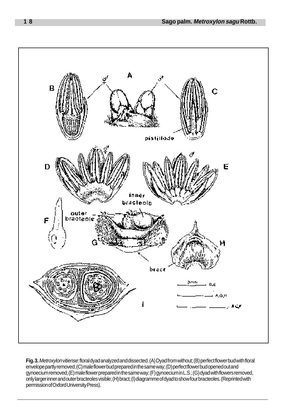

**Fig. 3.**Metroxylon vitiense: floral dyad analyzed and dissected. (A) Dyad from without; (B) perfect flower bud with floral envelope partly removed; (C) male flower bud prepared in the same way; (D) perfect flower bud opened out and gynoecium removed; (E) male flower prepared in the same way; (F) gynoecium in L.S.; (G) dyad with flowers removed, only larger inner and outer bracteoles visible; (H) bract; (I) diagramme of dyad to show four bracteoles. (Reprinted with permission of Oxford University Press).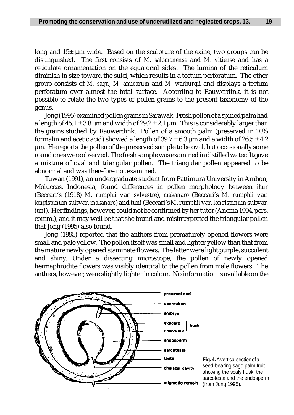long and  $15\pm \mu m$  wide. Based on the sculpture of the exine, two groups can be distinguished. The first consists of *M. salomonense* and *M. vitiense* and has a reticulate ornamentation on the equatorial sides. The lumina of the reticulum diminish in size toward the sulci, which results in a tectum perforatum. The other group consists of *M. sagu, M. amicarum* and *M*. *warburgii* and displays a tectum perforatum over almost the total surface. According to Rauwerdink, it is not possible to relate the two types of pollen grains to the present taxonomy of the genus.

Jong (1995) examined pollen grains in Sarawak. Fresh pollen of a spined palm had a length of  $45.1 \pm 3.8$  µm and width of  $29.2 \pm 2.1$  µm. This is considerably larger than the grains studied by Rauwerdink. Pollen of a smooth palm (preserved in 10% formalin and acetic acid) showed a length of  $39.7 \pm 6.3$  µm and a width of  $26.5 \pm 4.2$ µm. He reports the pollen of the preserved sample to be oval, but occasionally some round ones were observed. The fresh sample was examined in distilled water. It gave a mixture of oval and triangular pollen. The triangular pollen appeared to be abnormal and was therefore not examined.

Tuwan (1991), an undergraduate student from Pattimura University in Ambon, Moluccas, Indonesia, found differences in pollen morphology between *ihur* (Beccari's (1918) *M. rumphii* var*. sylvestre*), *makanaro* (Beccari's *M. rumphii* var*. longispinum* subvar*. makanaro*) and *tuni* (Beccari's *M. rumphii* var*. longispinum* subvar. *tuni*). Her findings, however, could not be confirmed by her tutor (Anema 1994, pers. comm.), and it may well be that she found and misinterpreted the triangular pollen that Jong (1995) also found.

Jong (1995) reported that the anthers from prematurely opened flowers were small and pale yellow. The pollen itself was small and lighter yellow than that from the mature newly opened staminate flowers. The latter were light purple, succulent and shiny. Under a dissecting microscope, the pollen of newly opened hermaphrodite flowers was visibly identical to the pollen from male flowers. The anthers, however, were slightly lighter in colour. No information is available on the



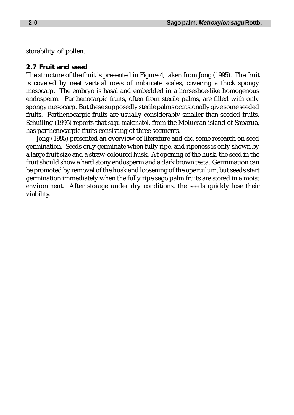storability of pollen.

## **2.7 Fruit and seed**

The structure of the fruit is presented in Figure 4, taken from Jong (1995). The fruit is covered by neat vertical rows of imbricate scales, covering a thick spongy mesocarp. The embryo is basal and embedded in a horseshoe-like homogenous endosperm. Parthenocarpic fruits, often from sterile palms, are filled with only spongy mesocarp. But these supposedly sterile palms occasionally give some seeded fruits. Parthenocarpic fruits are usually considerably smaller than seeded fruits. Schuiling (1995) reports that *sagu makanatol*, from the Moluccan island of Saparua, has parthenocarpic fruits consisting of three segments.

Jong (1995) presented an overview of literature and did some research on seed germination. Seeds only germinate when fully ripe, and ripeness is only shown by a large fruit size and a straw-coloured husk. At opening of the husk, the seed in the fruit should show a hard stony endosperm and a dark brown testa. Germination can be promoted by removal of the husk and loosening of the operculum, but seeds start germination immediately when the fully ripe sago palm fruits are stored in a moist environment. After storage under dry conditions, the seeds quickly lose their viability.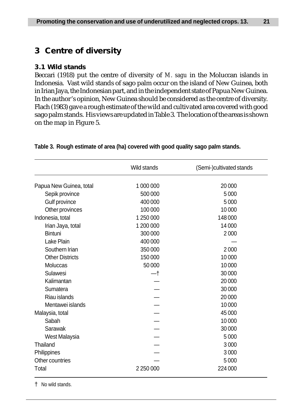# **3 Centre of diversity**

# **3.1 Wild stands**

Beccari (1918) put the centre of diversity of *M. sagu* in the Moluccan islands in Indonesia. Vast wild stands of sago palm occur on the island of New Guinea, both in Irian Jaya, the Indonesian part, and in the independent state of Papua New Guinea. In the author's opinion, New Guinea should be considered as the centre of diversity. Flach (1983) gave a rough estimate of the wild and cultivated area covered with good sago palm stands. His views are updated in Table 3. The location of the areas is shown on the map in Figure 5.

|                                                                                                                         | Wild stands | (Semi-)cultivated stands |
|-------------------------------------------------------------------------------------------------------------------------|-------------|--------------------------|
| Papua New Guinea, total                                                                                                 | 1 000 000   | 20 000                   |
| Sepik province                                                                                                          | 500 000     | 5 0 0 0                  |
|                                                                                                                         | 400 000     | 5 0 0 0                  |
| Other provinces                                                                                                         | 100 000     | 10 000                   |
| Indonesia, total                                                                                                        | 1 250 000   | 148 000                  |
|                                                                                                                         | 1 200 000   | 14 000                   |
| <b>Bintuni</b>                                                                                                          | 300 000     | 2000                     |
| Lake Plain                                                                                                              | 400 000     |                          |
| Southern Irian                                                                                                          | 350 000     | 2000                     |
| <b>Other Districts</b>                                                                                                  | 150000      | 10 000                   |
| Moluccas                                                                                                                | 50 000      | 10 000                   |
| Sulawesi                                                                                                                | 一†          | 30 000                   |
| Kalimantan                                                                                                              |             | 20 000                   |
| Gulf province<br>Irian Jaya, total<br>Sumatera<br>Riau islands<br>Mentawei islands<br>Sabah<br>Sarawak<br>West Malaysia |             | 30 000                   |
|                                                                                                                         |             | 20 000                   |
|                                                                                                                         |             | 10 000                   |
| Malaysia, total                                                                                                         |             | 45 000                   |
|                                                                                                                         |             | 10 000                   |
|                                                                                                                         |             | 30 000                   |
|                                                                                                                         |             | 5 0 0 0                  |
| Thailand                                                                                                                |             | 3 0 0 0                  |
| Philippines                                                                                                             |             | 3 0 0 0                  |
| Other countries                                                                                                         |             | 5000                     |
| Total                                                                                                                   | 2 250 000   | 224 000                  |

## **Table 3. Rough estimate of area (ha) covered with good quality sago palm stands.**

† No wild stands.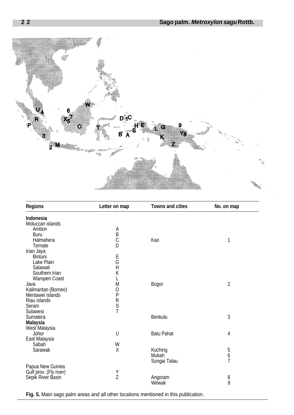

| <b>Regions</b>         | Letter on map  | <b>Towns and cities</b> | No. on map       |
|------------------------|----------------|-------------------------|------------------|
| Indonesia              |                |                         |                  |
| Moluccan islands       |                |                         |                  |
| Ambon                  | A              |                         |                  |
| Buru                   | $\overline{B}$ |                         |                  |
| Halmahera              |                | Kao                     | 1                |
| Ternate                | D              |                         |                  |
| Irian Jaya             |                |                         |                  |
| <b>Bintuni</b>         |                |                         |                  |
| Lake Plain             | E<br>G         |                         |                  |
| Salawati               | $\overline{H}$ |                         |                  |
| Southern Irian         | K              |                         |                  |
| Waropen Coast          |                |                         |                  |
| Java                   | М              | <b>Bogor</b>            | $\overline{2}$   |
| Kalimantan (Borneo)    | O              |                         |                  |
| Mentawei islands       | ${\sf P}$      |                         |                  |
| Riau islands           |                |                         |                  |
| Seram                  | R<br>S<br>T    |                         |                  |
| Sulawesi               |                |                         |                  |
| Sumatera               |                | Benkulu                 | 3                |
| <b>Malaysia</b>        |                |                         |                  |
| West Malaysia          |                |                         |                  |
| Johor                  | U              | <b>Batu Pahat</b>       | 4                |
| East Malaysia          |                |                         |                  |
| Sabah                  | W              |                         |                  |
| Sarawak                | X              | Kuching                 | 5                |
|                        |                | Mukah                   | $\boldsymbol{6}$ |
|                        |                | Sungai Talau            | $\overline{7}$   |
| Papua New Guinea       |                |                         |                  |
| Gulf prov. (Fly river) |                |                         |                  |
| Sepik River Basin      | Y<br>Z         | Angoram                 | 8                |
|                        |                | Wewak                   | 9                |
|                        |                |                         |                  |

**Fig. 5.** Main sago palm areas and all other locations mentioned in this publication.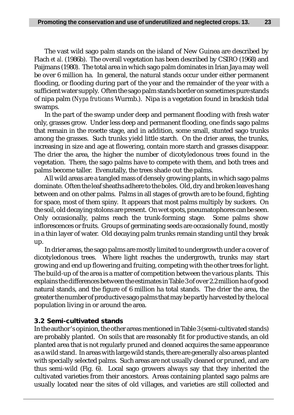The vast wild sago palm stands on the island of New Guinea are described by Flach *et al.* (1986b). The overall vegetation has been described by CSIRO (1968) and Paijmans (1980). The total area in which sago palm dominates in Irian Jaya may well be over 6 million ha. In general, the natural stands occur under either permanent flooding, or flooding during part of the year and the remainder of the year with a sufficient water supply. Often the sago palm stands border on sometimes pure stands of nipa palm (*Nypa fruticans* Wurmb.). Nipa is a vegetation found in brackish tidal swamps.

In the part of the swamp under deep and permanent flooding with fresh water only, grasses grow. Under less deep and permanent flooding, one finds sago palms that remain in the rosette stage, and in addition, some small, stunted sago trunks among the grasses. Such trunks yield little starch. On the drier areas, the trunks, increasing in size and age at flowering, contain more starch and grasses disappear. The drier the area, the higher the number of dicotyledonous trees found in the vegetation. There, the sago palms have to compete with them, and both trees and palms become taller. Evenutally, the trees shade out the palms.

All wild areas are a tangled mass of densely growing plants, in which sago palms dominate. Often the leaf sheaths adhere to the boles. Old, dry and broken leaves hang between and on other palms. Palms in all stages of growth are to be found, fighting for space, most of them spiny. It appears that most palms multiply by suckers. On the soil, old decaying stolons are present. On wet spots, pneumatophores can be seen. Only occasionally, palms reach the trunk-forming stage. Some palms show inflorescences or fruits. Groups of germinating seeds are occasionally found, mostly in a thin layer of water. Old decaying palm trunks remain standing until they break up.

In drier areas, the sago palms are mostly limited to undergrowth under a cover of dicotyledonous trees. Where light reaches the undergrowth, trunks may start growing and end up flowering and fruiting, competing with the other trees for light. The build-up of the area is a matter of competition between the various plants. This explains the differences between the estimates in Table 3 of over 2.2 million ha of good natural stands, and the figure of 6 million ha total stands. The drier the area, the greater the number of productive sago palms that may be partly harvested by the local population living in or around the area.

## **3.2 Semi-cultivated stands**

In the author's opinion, the other areas mentioned in Table 3 (semi-cultivated stands) are probably planted. On soils that are reasonably fit for productive stands, an old planted area that is not regularly pruned and cleaned acquires the same appearance as a wild stand. In areas with large wild stands, there are generally also areas planted with specially selected palms. Such areas are not usually cleaned or pruned, and are thus semi-wild (Fig. 6). Local sago growers always say that they inherited the cultivated varieties from their ancestors. Areas containing planted sago palms are usually located near the sites of old villages, and varieties are still collected and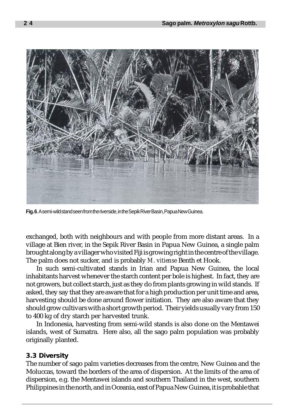

**Fig. 6**. A semi-wild stand seen from the riverside, in the Sepik River Basin, Papua New Guinea.

exchanged, both with neighbours and with people from more distant areas. In a village at Bien river, in the Sepik River Basin in Papua New Guinea, a single palm brought along by a villager who visited Fiji is growing right in the centre of the village. The palm does not sucker, and is probably *M. vitiense* Benth et Hook.

In such semi-cultivated stands in Irian and Papua New Guinea, the local inhabitants harvest whenever the starch content per bole is highest. In fact, they are not growers, but collect starch, just as they do from plants growing in wild stands. If asked, they say that they are aware that for a high production per unit time and area, harvesting should be done around flower initiation. They are also aware that they should grow cultivars with a short growth period. Their yields usually vary from 150 to 400 kg of dry starch per harvested trunk.

In Indonesia, harvesting from semi-wild stands is also done on the Mentawei islands, west of Sumatra. Here also, all the sago palm population was probably originally planted.

## **3.3 Diversity**

The number of sago palm varieties decreases from the centre, New Guinea and the Moluccas, toward the borders of the area of dispersion. At the limits of the area of dispersion, e.g. the Mentawei islands and southern Thailand in the west, southern Philippines in the north, and in Oceania, east of Papua New Guinea, it is probable that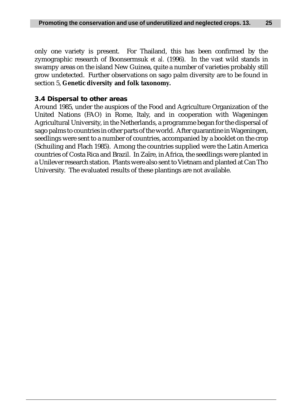only one variety is present. For Thailand, this has been confirmed by the zymographic research of Boonsermsuk *et al.* (1996). In the vast wild stands in swampy areas on the island New Guinea, quite a number of varieties probably still grow undetected. Further observations on sago palm diversity are to be found in section 5, **Genetic diversity and folk taxonomy.**

# **3.4 Dispersal to other areas**

Around 1985, under the auspices of the Food and Agriculture Organization of the United Nations (FAO) in Rome, Italy, and in cooperation with Wageningen Agricultural University, in the Netherlands, a programme began for the dispersal of sago palms to countries in other parts of the world. After quarantine in Wageningen, seedlings were sent to a number of countries, accompanied by a booklet on the crop (Schuiling and Flach 1985). Among the countries supplied were the Latin America countries of Costa Rica and Brazil. In Zaïre, in Africa, the seedlings were planted in a Unilever research station. Plants were also sent to Vietnam and planted at Can Tho University. The evaluated results of these plantings are not available.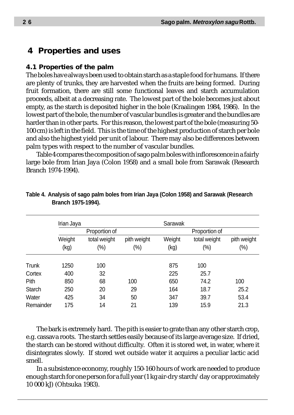# **4 Properties and uses**

## **4.1 Properties of the palm**

The boles have always been used to obtain starch as a staple food for humans. If there are plenty of trunks, they are harvested when the fruits are being formed. During fruit formation, there are still some functional leaves and starch accumulation proceeds, albeit at a decreasing rate. The lowest part of the bole becomes just about empty, as the starch is deposited higher in the bole (Kraalingen 1984, 1986). In the lowest part of the bole, the number of vascular bundles is greater and the bundles are harder than in other parts. For this reason, the lowest part of the bole (measuring 50- 100 cm) is left in the field. This is the time of the highest production of starch per bole and also the highest yield per unit of labour. There may also be differences between palm types with respect to the number of vascular bundles.

Table 4 compares the composition of sago palm boles with inflorescence in a fairly large bole from Irian Jaya (Colon 1958) and a small bole from Sarawak (Research Branch 1974-1994).

|           | Irian Jaya |               |             | Sarawak |               |             |
|-----------|------------|---------------|-------------|---------|---------------|-------------|
|           |            | Proportion of |             |         | Proportion of |             |
|           | Weight     | total weight  | pith weight | Weight  | total weight  | pith weight |
|           | (kg)       | $(\%)$        | $(\%)$      | (kg)    | (%)           | $(\%)$      |
| Trunk     | 1250       | 100           |             | 875     | 100           |             |
| Cortex    | 400        | 32            |             | 225     | 25.7          |             |
| Pith      | 850        | 68            | 100         | 650     | 74.2          | 100         |
| Starch    | 250        | 20            | 29          | 164     | 18.7          | 25.2        |
| Water     | 425        | 34            | 50          | 347     | 39.7          | 53.4        |
| Remainder | 175        | 14            | 21          | 139     | 15.9          | 21.3        |

## **Table 4. Analysis of sago palm boles from Irian Jaya (Colon 1958) and Sarawak (Research Branch 1975-1994).**

The bark is extremely hard. The pith is easier to grate than any other starch crop, e.g. cassava roots. The starch settles easily because of its large average size. If dried, the starch can be stored without difficulty. Often it is stored wet, in water, where it disintegrates slowly. If stored wet outside water it acquires a peculiar lactic acid smell.

In a subsistence economy, roughly 150-160 hours of work are needed to produce enough starch for one person for a full year (1 kg air-dry starch/day or approximately 10 000 kJ) (Ohtsuka 1983).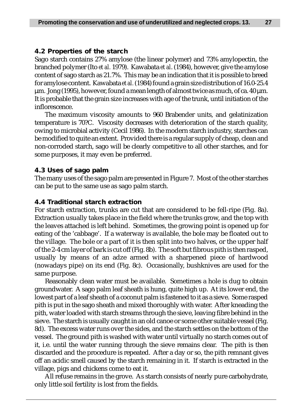## **4.2 Properties of the starch**

Sago starch contains 27% amylose (the linear polymer) and 73% amylopectin, the branched polymer (Ito *et al.* 1979). Kawabata *et al*. (1984), however, give the amylose content of sago starch as 21.7%. This may be an indication that it is possible to breed for amylose content. Kawabata *et al.* (1984) found a grain size distribution of 16.0-25.4  $\mu$ m. Jong (1995), however, found a mean length of almost twice as much, of ca. 40  $\mu$ m. It is probable that the grain size increases with age of the trunk, until initiation of the inflorescence.

The maximum viscosity amounts to 960 Brabender units, and gelatinization temperature is 70?C. Viscosity decreases with deterioration of the starch quality, owing to microbial activity (Cecil 1986). In the modern starch industry, starches can be modified to quite an extent. Provided there is a regular supply of cheap, clean and non-corroded starch, sago will be clearly competitive to all other starches, and for some purposes, it may even be preferred.

## **4.3 Uses of sago palm**

The many uses of the sago palm are presented in Figure 7. Most of the other starches can be put to the same use as sago palm starch.

## **4.4 Traditional starch extraction**

For starch extraction, trunks are cut that are considered to be fell-ripe (Fig. 8a). Extraction usually takes place in the field where the trunks grow, and the top with the leaves attached is left behind. Sometimes, the growing point is opened up for eating of the 'cabbage'. If a waterway is available, the bole may be floated out to the village. The bole or a part of it is then split into two halves, or the upper half of the 2-4 cm layer of bark is cut off (Fig. 8b). The soft but fibrous pith is then rasped, usually by means of an adze armed with a sharpened piece of hardwood (nowadays pipe) on its end (Fig. 8c). Occasionally, bushknives are used for the same purpose.

Reasonably clean water must be available. Sometimes a hole is dug to obtain groundwater. A sago palm leaf sheath is hung, quite high up. At its lower end, the lowest part of a leaf sheath of a coconut palm is fastened to it as a sieve. Some rasped pith is put in the sago sheath and mixed thoroughly with water. After kneading the pith, water loaded with starch streams through the sieve, leaving fibre behind in the sieve. The starch is usually caught in an old canoe or some other suitable vessel (Fig. 8d). The excess water runs over the sides, and the starch settles on the bottom of the vessel. The ground pith is washed with water until virtually no starch comes out of it, i.e. until the water running through the sieve remains clear. The pith is then discarded and the procedure is repeated. After a day or so, the pith remnant gives off an acidic smell caused by the starch remaining in it. If starch is extracted in the village, pigs and chickens come to eat it.

All refuse remains in the grove. As starch consists of nearly pure carbohydrate, only little soil fertility is lost from the fields.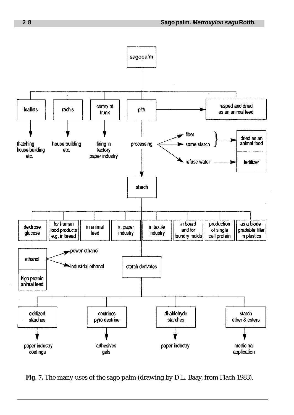

**Fig. 7.** The many uses of the sago palm (drawing by D.L. Baay, from Flach 1983).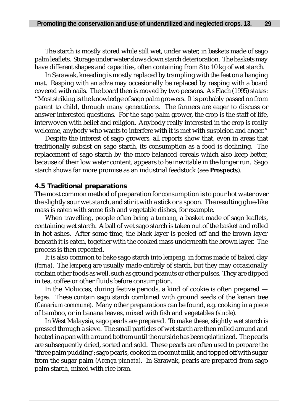The starch is mostly stored while still wet, under water, in baskets made of sago palm leaflets. Storage under water slows down starch deterioration. The baskets may have different shapes and capacities, often containing from 8 to 10 kg of wet starch.

In Sarawak, kneading is mostly replaced by trampling with the feet on a hanging mat. Rasping with an adze may occasionally be replaced by rasping with a board covered with nails. The board then is moved by two persons. As Flach (1995) states: "Most striking is the knowledge of sago palm growers. It is probably passed on from parent to child, through many generations. The farmers are eager to discuss or answer interested questions. For the sago palm grower, the crop is the staff of life, interwoven with belief and religion. Anybody really interested in the crop is really welcome, anybody who wants to interfere with it is met with suspicion and anger."

Despite the interest of sago growers, all reports show that, even in areas that traditionally subsist on sago starch, its consumption as a food is declining. The replacement of sago starch by the more balanced cereals which also keep better, because of their low water content, appears to be inevitable in the longer run. Sago starch shows far more promise as an industrial feedstock (see **Prospects**).

## **4.5 Traditional preparations**

The most common method of preparation for consumption is to pour hot water over the slightly sour wet starch, and stir it with a stick or a spoon. The resulting glue-like mass is eaten with some fish and vegetable dishes, for example.

When travelling, people often bring a *tumang*, a basket made of sago leaflets, containing wet starch. A ball of wet sago starch is taken out of the basket and rolled in hot ashes. After some time, the black layer is peeled off and the brown layer beneath it is eaten, together with the cooked mass underneath the brown layer. The process is then repeated.

It is also common to bake sago starch into *lempeng*, in forms made of baked clay (*forna*). The *lempeng* are usually made entirely of starch, but they may occasionally contain other foods as well, such as ground peanuts or other pulses. They are dipped in tea, coffee or other fluids before consumption.

In the Moluccas, during festive periods, a kind of cookie is often prepared *bagea*. These contain sago starch combined with ground seeds of the kenari tree (*Canarium commune*). Many other preparations can be found, e.g. cooking in a piece of bamboo, or in banana leaves, mixed with fish and vegetables (*sinole*).

In West Malaysia, sago pearls are prepared. To make these, slightly wet starch is pressed through a sieve. The small particles of wet starch are then rolled around and heated in a pan with a round bottom until the outside has been gelatinized. The pearls are subsequently dried, sorted and sold. These pearls are often used to prepare the 'three palm pudding': sago pearls, cooked in coconut milk, and topped off with sugar from the sugar palm (*Arenga pinnata*). In Sarawak, pearls are prepared from sago palm starch, mixed with rice bran.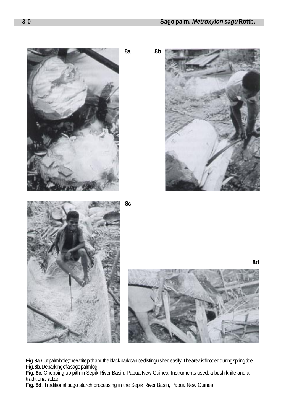

**Fig. 8a.** Cut palm bole; the white pith and the black bark can be distinguished easily. The area is flooded during spring tide **Fig. 8b**. Debarking of a sago palm log.

**Fig. 8c.** Chopping up pith in Sepik River Basin, Papua New Guinea. Instruments used: a bush knife and a traditional adze.

**Fig. 8d**. Traditional sago starch processing in the Sepik River Basin, Papua New Guinea.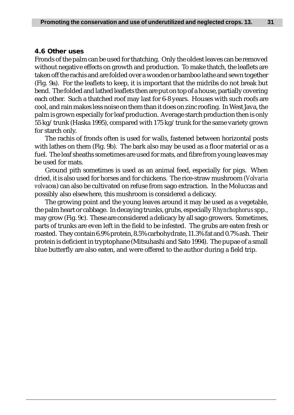## **4.6 Other uses**

Fronds of the palm can be used for thatching. Only the oldest leaves can be removed without negative effects on growth and production. To make thatch, the leaflets are taken off the rachis and are folded over a wooden or bamboo lathe and sewn together (Fig. 9a). For the leaflets to keep, it is important that the midribs do not break but bend. The folded and lathed leaflets then are put on top of a house, partially covering each other. Such a thatched roof may last for 6-8 years. Houses with such roofs are cool, and rain makes less noise on them than it does on zinc roofing. In West Java, the palm is grown especially for leaf production. Average starch production then is only 55 kg/trunk (Haska 1995), compared with 175 kg/trunk for the same variety grown for starch only.

The rachis of fronds often is used for walls, fastened between horizontal posts with lathes on them (Fig. 9b). The bark also may be used as a floor material or as a fuel. The leaf sheaths sometimes are used for mats, and fibre from young leaves may be used for mats.

Ground pith sometimes is used as an animal feed, especially for pigs. When dried, it is also used for horses and for chickens. The rice-straw mushroom (*Volvaria volvacea*) can also be cultivated on refuse from sago extraction. In the Moluccas and possibly also elsewhere, this mushroom is considered a delicacy.

The growing point and the young leaves around it may be used as a vegetable, the palm heart or cabbage. In decaying trunks, grubs, especially *Rhynchophorus* spp., may grow (Fig. 9c). These are considered a delicacy by all sago growers. Sometimes, parts of trunks are even left in the field to be infested. The grubs are eaten fresh or roasted. They contain 6.9% protein, 8.5% carbohydrate, 11.3% fat and 0.7% ash. Their protein is deficient in tryptophane (Mitsuhashi and Sato 1994). The pupae of a small blue butterfly are also eaten, and were offered to the author during a field trip.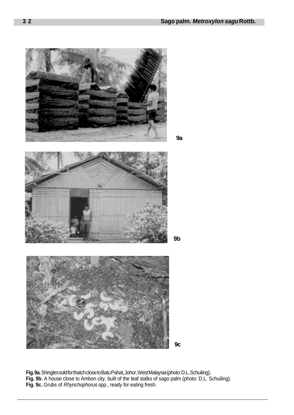

**Fig. 9a**. Shingles sold for thatch close to Batu Pahat, Johor, West Malaysia (photo: D.L. Schuiling). **Fig. 9b**. A house close to Ambon city, built of the leaf stalks of sago palm (photo: D.L. Schuiling). **Fig. 9c.** Grubs of Rhynchophorus spp., ready for eating fresh.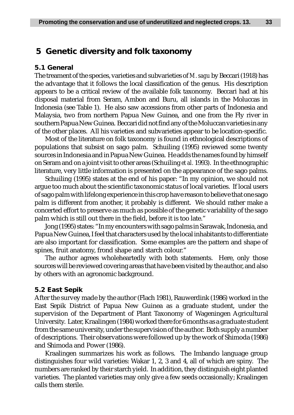# **5 Genetic diversity and folk taxonomy**

## **5.1 General**

The treament of the species, varieties and subvarieties of *M. sagu* by Beccari (1918) has the advantage that it follows the local classification of the genus. His description appears to be a critical review of the available folk taxonomy. Beccari had at his disposal material from Seram, Ambon and Buru, all islands in the Moluccas in Indonesia (see Table 1). He also saw accessions from other parts of Indonesia and Malaysia, two from northern Papua New Guinea, and one from the Fly river in southern Papua New Guinea. Beccari did not find any of the Moluccan varieties in any of the other places. All his varieties and subvarieties appear to be location-specific.

Most of the literature on folk taxonomy is found in ethnological descriptions of populations that subsist on sago palm. Schuiling (1995) reviewed some twenty sources in Indonesia and in Papua New Guinea. He adds the names found by himself on Seram and on a joint visit to other areas (Schuiling *et al.* 1993). In the ethnographic literature, very little information is presented on the appearance of the sago palms.

Schuiling (1995) states at the end of his paper: "In my opinion, we should not argue too much about the scientific taxonomic status of local varieties. If local users of sago palm with lifelong experience in this crop have reason to believe that one sago palm is different from another, it probably is different. We should rather make a concerted effort to preserve as much as possible of the genetic variability of the sago palm which is still out there in the field, before it is too late."

Jong (1995) states: "In my encounters with sago palms in Sarawak, Indonesia, and Papua New Guinea, I feel that characters used by the local inhabitants to differentiate are also important for classification. Some examples are the pattern and shape of spines, fruit anatomy, frond shape and starch colour."

The author agrees wholeheartedly with both statements. Here, only those sources will be reviewed covering areas that have been visited by the author, and also by others with an agronomic background.

## **5.2 East Sepik**

After the survey made by the author (Flach 1981), Rauwerdink (1986) worked in the East Sepik District of Papua New Guinea as a graduate student, under the supervision of the Department of Plant Taxonomy of Wageningen Agricultural University. Later, Kraalingen (1984) worked there for 6 months as a graduate student from the same university, under the supervision of the author. Both supply a number of descriptions. Their observations were followed up by the work of Shimoda (1986) and Shimoda and Power (1986).

Kraalingen summarizes his work as follows. The Imbando language group distinguishes four wild varieties: Wakar 1, 2, 3 and 4, all of which are spiny. The numbers are ranked by their starch yield. In addition, they distinguish eight planted varieties. The planted varieties may only give a few seeds occasionally; Kraalingen calls them sterile.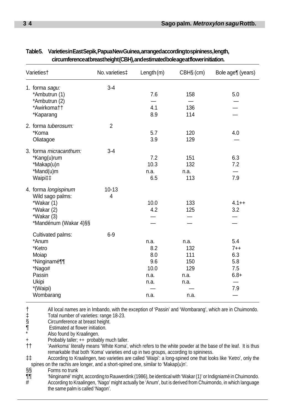| Varieties†                                                                                                          | No. varieties‡ | Length $(m)$                                              | CBH§ (cm)                                                | Bole age¶ (years)                                    |
|---------------------------------------------------------------------------------------------------------------------|----------------|-----------------------------------------------------------|----------------------------------------------------------|------------------------------------------------------|
| 1. forma sagu:<br>*Ambutrun (1)<br>*Ambutrun (2)                                                                    | $3-4$          | 7.6                                                       | 158                                                      | 5.0                                                  |
| *Awirkomatt<br>*Kaparang                                                                                            |                | 4.1<br>8.9                                                | 136<br>114                                               |                                                      |
| 2. forma tuberosum:<br>*Koma<br>Oliatagoe                                                                           | $\overline{2}$ | 5.7<br>3.9                                                | 120<br>129                                               | 4.0                                                  |
| 3. forma micracanthum:<br>*Kang(u)rum<br>*Makap(u)n<br>*Mand(u)m<br>Waipi‡‡                                         | $3-4$          | 7.2<br>10.3<br>n.a.<br>6.5                                | 151<br>132<br>n.a.<br>113                                | 6.3<br>7.2<br>7.9                                    |
| 4. forma longispinum<br>Wild sago palms:<br>*Wakar (1)<br>*Wakar (2)<br>*Wakar (3)<br>*Mandénum (Wakar 4)§§         | $10 - 13$<br>4 | 10.0<br>4.2                                               | 133<br>125                                               | $4.1++$<br>3.2                                       |
| Cultivated palms:<br>*Anum<br>*Ketro<br>Moiap<br>*Ninginamé¶¶<br>*Nago#<br>Passin<br>Ukipi<br>*(Waipi)<br>Wombarang | $6-9$          | n.a.<br>8.2<br>8.0<br>9.6<br>10.0<br>n.a.<br>n.a.<br>n.a. | n.a.<br>132<br>111<br>150<br>129<br>n.a.<br>n.a.<br>n.a. | 5.4<br>$7 + +$<br>6.3<br>5.8<br>7.5<br>$6.8+$<br>7.9 |

## **Table 5. Varieties in East Sepik, Papua New Guinea, arranged according to spininess, length, circumference at breast height (CBH), and estimated bole age at flower initiation.**

All local names are in Imbando, with the exception of 'Passin' and 'Wombarang', which are in Chuimondo.<br>
Total number of varieties: range 18-23.<br>
S<br>
Circumference at breast height.<br>
Estimated at flower initiation.<br>
Also fo Total number of varieties: range 18-23.

§ Circumference at breast height.

Estimated at flower initiation.

Also found by Kraalingen.

Probably taller; ++ probably much taller.

†† 'Awirkoma' literally means 'White Koma', which refers to the white powder at the base of the leaf. It is thus remarkable that both 'Koma' varieties end up in two groups, according to spininess.

‡‡ According to Kraalingen, two varieties are called 'Waipi': a long-spined one that looks like 'Ketro', only the

§§ Forms no trunk

spines on the rachis are longer, and a short-spined one, similar to 'Makap(u)n'.<br>SS<br>The metric of the short-spined one, similar to 'Makap(u)n'.<br>The "Ninginame" might, according to Rauwerdink (1986), be identical with 'Wa<br>A ¶¶ 'Ninginamé' might, according to Rauwerdink (1986), be identical with 'Wakar (1)' or Indigniamé in Chuimondo. According to Kraalingen, 'Nago' might actually be 'Anum', but is derived from Chuimondo, in which language the same palm is called 'Nagon'.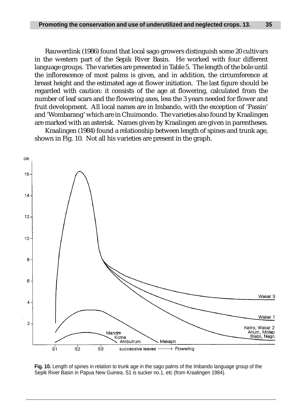Rauwerdink (1986) found that local sago growers distinguish some 20 cultivars in the western part of the Sepik River Basin. He worked with four different language groups. The varieties are presented in Table 5. The length of the bole until the inflorescence of most palms is given, and in addition, the circumference at breast height and the estimated age at flower initiation. The last figure should be regarded with caution: it consists of the age at flowering, calculated from the number of leaf scars and the flowering axes, less the 3 years needed for flower and fruit development. All local names are in Imbando, with the exception of 'Passin' and 'Wombarang' which are in Chuimondo. The varieties also found by Kraalingen are marked with an asterisk. Names given by Kraalingen are given in parentheses.

Kraalingen (1984) found a relationship between length of spines and trunk age, shown in Fig. 10. Not all his varieties are present in the graph.



**Fig. 10.** Length of spines in relation to trunk age in the sago palms of the Imbando language group of the Sepik River Basin in Papua New Guinea. S1 is sucker no.1, etc (from Kraalingen 1984).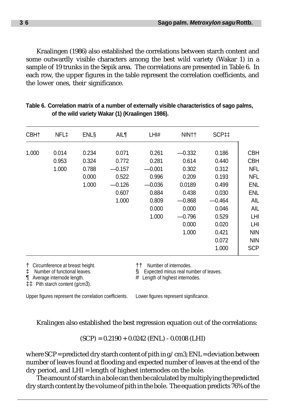Kraalingen (1986) also established the correlations between starch content and some outwardly visible characters among the best wild variety (Wakar 1) in a sample of 19 trunks in the Sepik area. The correlations are presented in Table 6.In each row, the upper figures in the table represent the correlation coefficients, and the lower ones, their significance.

| NFL‡                    | <b>ENLS</b>             | <b>AIL¶</b>                | LHI#                       | NIN††                      | SCP <sub>11</sub>       |                                        |
|-------------------------|-------------------------|----------------------------|----------------------------|----------------------------|-------------------------|----------------------------------------|
| 0.014<br>0.953<br>1.000 | 0.234<br>0.324<br>0.788 | 0.071<br>0.772<br>$-0.157$ | 0.261<br>0.281<br>$-0.001$ | $-0.332$<br>0.614<br>0.302 | 0.186<br>0.440<br>0.312 | <b>CBH</b><br><b>CBH</b><br><b>NFL</b> |
|                         | 0.000<br>1.000          | 0.522<br>$-0.126$          | 0.996<br>$-0.036$          | 0.209<br>0.0189            | 0.193<br>0.499          | <b>NFL</b><br>ENL                      |
|                         |                         | 1.000                      | 0.809                      | $-0.868$                   | $-0.464$                | ENL<br><b>AIL</b><br>AIL               |
|                         |                         |                            | 1.000                      | $-0.796$<br>0.000          | 0.529<br>0.020          | LHI<br>LHI                             |
|                         |                         |                            |                            | 1.000                      | 0.421<br>0.072          | <b>NIN</b><br><b>NIN</b><br><b>SCP</b> |
|                         |                         |                            | 0.607                      | 0.884<br>0.000             | 0.438<br>0.000          | 0.030<br>0.046<br>1.000                |

**Table 6. Correlation matrix of a number of externally visible characteristics of sago palms, of the wild variety Wakar (1) (Kraalingen 1986).**

† Circumference at breast height. †† Number of internodes.

‡‡ Pith starch content (g/cm3).

Expected minus real number of leaves.

 $\P$  Average internode length.  $\#$  Length of highest internodes.

Upper figures represent the correlation coefficients. Lower figures represent significance.

Kralingen also established the best regression equation out of the correlations:

 $(SCP) = 0.2190 + 0.0242$  (ENL) - 0.0108 (LHI)

where  $SCP = predicted$  dry starch content of pith in  $g/cm3$ ;  $ENL = deviation$  between number of leaves found at flooding and expected number of leaves at the end of the dry period, and LHI = length of highest internodes on the bole.

The amount of starch in a bole can then be calculated by multiplying the predicted dry starch content by the volume of pith in the bole. The equation predicts 76% of the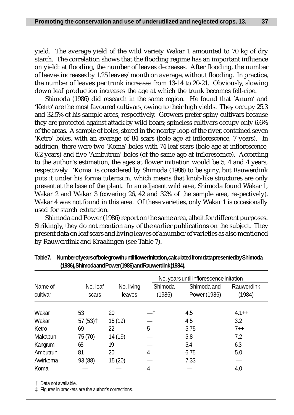yield. The average yield of the wild variety Wakar 1 amounted to 70 kg of dry starch. The correlation shows that the flooding regime has an important influence on yield: at flooding, the number of leaves decreases. After flooding, the number of leaves increases by 1.25 leaves/month on average, without flooding. In practice, the number of leaves per trunk increases from 13-14 to 20-21. Obviously, slowing down leaf production increases the age at which the trunk becomes fell-ripe.

Shimoda (1986) did research in the same region. He found that 'Anum' and 'Ketro' are the most favoured cultivars, owing to their high yields. They occupy 25.3 and 32.5% of his sample areas, respectively. Growers prefer spiny cultivars because they are protected against attack by wild boars; spineless cultivars occupy only 6.6% of the areas. A sample of boles, stored in the nearby loop of the river, contained seven 'Ketro' boles, with an average of 84 scars (bole age at inflorescence, 7 years). In addition, there were two 'Koma' boles with 74 leaf scars (bole age at inflorescence, 6.2 years) and five 'Ambutrun' boles (of the same age at inflorescence). According to the author's estimation, the ages at flower initiation would be 5, 4 and 4 years, respectively. 'Koma' is considered by Shimoda (1986) to be spiny, but Rauwerdink puts it under his forma *tuberosum*, which means that knob-like structures are only present at the base of the plant. In an adjacent wild area, Shimoda found Wakar 1, Wakar 2 and Wakar 3 (covering 26, 42 and 32% of the sample area, respectively). Wakar 4 was not found in this area. Of these varieties, only Wakar 1 is occasionally used for starch extraction.

Shimoda and Power (1986) report on the same area, albeit for different purposes. Strikingly, they do not mention any of the earlier publications on the subject. They present data on leaf scars and living leaves of a number of varieties as also mentioned by Rauwerdink and Kraalingen (see Table 7).

|                     |                    |                      | No. years until inflorescence initation |                             |                      |  |
|---------------------|--------------------|----------------------|-----------------------------------------|-----------------------------|----------------------|--|
| Name of<br>cultivar | No. leaf<br>scars  | No. living<br>leaves | Shimoda<br>(1986)                       | Shimoda and<br>Power (1986) | Rauwerdink<br>(1984) |  |
| Wakar               | 53                 | 20                   |                                         | 4.5                         | $4.1 + +$            |  |
| Wakar               | 57 (53) $\ddagger$ | 15 (19)              |                                         | 4.5                         | 3.2                  |  |
| Ketro               | 69                 | 22                   | 5                                       | 5.75                        | $7 + +$              |  |
| Makapun             | 75 (70)            | 14 (19)              |                                         | 5.8                         | 7.2                  |  |
| Kangrum             | 65                 | 19                   |                                         | 5.4                         | 6.3                  |  |
| Ambutrun            | 81                 | 20                   | 4                                       | 6.75                        | 5.0                  |  |
| Awirkoma            | 93 (88)            | 15(20)               |                                         | 7.33                        |                      |  |
| Koma                |                    |                      | 4                                       |                             | 4.0                  |  |

**Table 7. Number of years of bole growth until flower initation, calculated from data presented by Shimoda (1986), Shimoda and Power (1986) and Rauwerdink (1984).**

† Data not available.

‡ Figures in brackets are the author's corrections.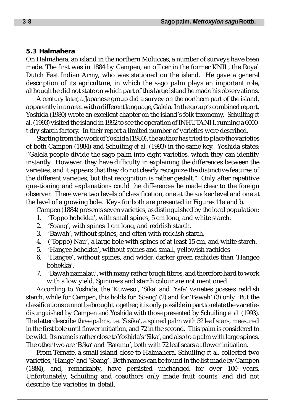#### **5.3 Halmahera**

On Halmahera, an island in the northern Moluccas, a number of surveys have been made. The first was in 1884 by Campen, an officer in the former KNIL, the Royal Dutch East Indian Army, who was stationed on the island. He gave a general description of its agriculture, in which the sago palm plays an important role, although he did not state on which part of this large island he made his observations.

A century later, a Japanese group did a survey on the northern part of the island, apparently in an area with a different language, Galela. In the group's combined report, Yoshida (1980) wrote an excellent chapter on the island's folk taxonomy. Schuiling *et al.* (1993) visited the island in 1992 to see the operation of INHUTANI I, running a 6000 t dry starch factory. In their report a limited number of varieties were described.

Starting from the work of Yoshida (1980), the author has tried to place the varieties of both Campen (1884) and Schuiling *et al.* (1993) in the same key. Yoshida states: "Galela people divide the sago palm into eight varieties, which they can identify instantly. However, they have difficulty in explaining the differences between the varieties, and it appears that they do not clearly recognize the distinctive features of the different varieties, but that recognition is rather gestalt." Only after repetitive questioning and explanations could the differences be made clear to the foreign observer. There were two levels of classification, one at the sucker level and one at the level of a growing bole. Keys for both are presented in Figures 11a and b.

Campen (1884) presents seven varieties, as distinguished by the local population:

- 1. Toppo bohekka', with small spines, 5 cm long, and white starch.<br>2. Soang', with spines 1 cm long, and reddish starch.
- 'Soang', with spines 1 cm long, and reddish starch.
- 3. 'Bawah', without spines, and often with reddish starch.
- 4. ('Toppo) Nau', a large bole with spines of at least 15 cm, and white starch.
- 5. 'Hangee bohekka', without spines and small, yellowish rachides
- 6. 'Hangee', without spines, and wider, darker green rachides than 'Hangee bohekka'.
- 7. 'Bawah namalau', with many rather tough fibres, and therefore hard to work with a low yield. Spininess and starch colour are not mentioned.

According to Yoshida, the 'Kuweso', 'Sika' and 'Yafa' varieties possess reddish starch, while for Campen, this holds for 'Soang' (2) and for 'Bawah' (3) only. But the classifications cannot be brought together; it is only possible in part to relate the varieties distinguished by Campen and Yoshida with those presented by Schuiling *et al.* (1993). The latter describe three palms, i.e. 'Sisika', a spined palm with 52 leaf scars, measured in the first bole until flower initiation, and 72 in the second. This palm is considered to be wild. Its name is rather close to Yoshida's 'Sika', and also to a palm with large spines. The other two are 'Béka' and 'Ratému', both with 72 leaf scars at flower initiation.

From Ternate, a small island close to Halmahera, Schuiling *et al.* collected two varieties, 'Hange' and 'Soang'. Both names can be found in the list made by Campen (1884), and, remarkably, have persisted unchanged for over 100 years. Unfortunately, Schuiling and coauthors only made fruit counts, and did not describe the varieties in detail.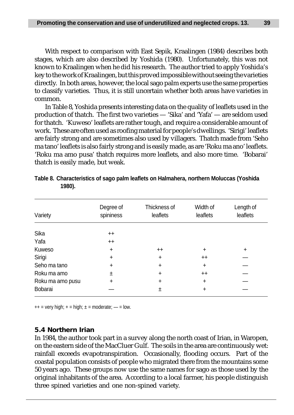With respect to comparison with East Sepik, Kraalingen (1984) describes both stages, which are also described by Yoshida (1980). Unfortunately, this was not known to Kraalingen when he did his research. The author tried to apply Yoshida's key to the work of Kraalingen, but this proved impossible without seeing the varieties directly. In both areas, however, the local sago palm experts use the same properties to classify varieties. Thus, it is still uncertain whether both areas have varieties in common.

In Table 8, Yoshida presents interesting data on the quality of leaflets used in the production of thatch. The first two varieties — 'Sika' and 'Yafa' — are seldom used for thatch. 'Kuweso' leaflets are rather tough, and require a considerable amount of work. These are often used as roofing material for people's dwellings. 'Sirigi' leaflets are fairly strong and are sometimes also used by villagers. Thatch made from 'Seho ma tano' leaflets is also fairly strong and is easily made, as are 'Roku ma ano' leaflets. 'Roku ma amo pusa' thatch requires more leaflets, and also more time. 'Bobarai' thatch is easily made, but weak.

| Variety          | Degree of<br>spininess | Thickness of<br>leaflets | Width of<br>leaflets | Length of<br>leaflets |
|------------------|------------------------|--------------------------|----------------------|-----------------------|
| Sika             | $^{++}$                |                          |                      |                       |
| Yafa             | $^{++}$                |                          |                      |                       |
| Kuweso           | $\ddot{}$              | $^{++}$                  | $\ddot{}$            | ÷                     |
| Sirigi           | $\ddot{}$              | +                        | $++$                 |                       |
| Seho ma tano     | $\ddot{}$              | +                        | $\ddot{}$            |                       |
| Roku ma amo      | 土                      | ÷                        | $++$                 |                       |
| Roku ma amo pusu | $\ddot{}$              | +                        | $\ddot{}$            |                       |
| Bobarai          |                        | 土                        | ÷                    |                       |

| Table 8. Characteristics of sago palm leaflets on Halmahera, northern Moluccas (Yoshida |  |
|-----------------------------------------------------------------------------------------|--|
| 1980).                                                                                  |  |

 $++$  = very high;  $+=$  high;  $\pm$  = moderate;  $\rightarrow$  = low.

### **5.4 Northern Irian**

In 1984, the author took part in a survey along the north coast of Irian, in Waropen, on the eastern side of the MacCluer Gulf. The soils in the area are continuously wet: rainfall exceeds evapotranspiration. Occasionally, flooding occurs. Part of the coastal population consists of people who migrated there from the mountains some 50 years ago. These groups now use the same names for sago as those used by the original inhabitants of the area. According to a local farmer, his people distinguish three spined varieties and one non-spined variety.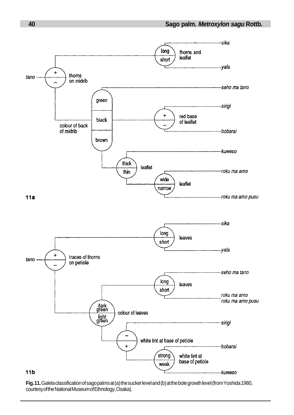

**Fig. 11.** Galela classification of sago palms at (a) the sucker level and (b) at the bole growth level (from Yoshida 1980, courtesy of the National Museum of Ethnology, Osaka).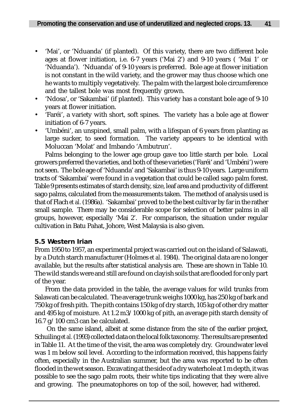- 'Mai', or 'Nduanda' (if planted). Of this variety, there are two different bole ages at flower initiation, i.e. 6-7 years ('Mai 2') and 9-10 years ( 'Mai 1' or 'Nduanda'). 'Nduanda' of 9-10 years is preferred. Bole age at flower initiation is not constant in the wild variety, and the grower may thus choose which one he wants to multiply vegetatively. The palm with the largest bole circumference and the tallest bole was most frequently grown.
- 'Ndosa', or 'Sakambai' (if planted). This variety has a constant bole age of 9-10 years at flower initiation.
- 'Faréi', a variety with short, soft spines. The variety has a bole age at flower initiation of 6-7 years.
- 'Umbéni', an unspined, small palm, with a lifespan of 6 years from planting as large sucker, to seed formation. The variety appears to be identical with Moluccan 'Molat' and Imbando 'Ambutrun'.

Palms belonging to the lower age group gave too little starch per bole. Local growers preferred the varieties, and both of these varieties ('Faréi' and 'Umbéni') were not seen. The bole age of 'Nduanda' and 'Sakambai' is thus 9-10 years. Large uniform tracts of 'Sakambai' were found in a vegetation that could be called sago palm forest. Table 9 presents estimates of starch density, size, leaf area and productivity of different sago palms, calculated from the measurements taken. The method of analysis used is that of Flach *et al.* (1986a). 'Sakambai' proved to be the best cultivar by far in the rather small sample. There may be considerable scope for selection of better palms in all groups, however, especially 'Mai 2'. For comparison, the situation under regular cultivation in Batu Pahat, Johore, West Malaysia is also given.

## **5.5 Western Irian**

From 1950 to 1957, an experimental project was carried out on the island of Salawati, by a Dutch starch manufacturer (Holmes *et al.* 1984). The original data are no longer available, but the results after statistical analysis are. These are shown in Table 10. The wild stands were and still are found on clayish soils that are flooded for only part of the year.

From the data provided in the table, the average values for wild trunks from Salawati can be calculated. The average trunk weighs 1000 kg, has 250 kg of bark and 750 kg of fresh pith. The pith contains 150 kg of dry starch, 105 kg of other dry matter and 495 kg of moisture. At 1.2 m3/1000 kg of pith, an average pith starch density of 16.7 g/100 cm3 can be calculated.

On the same island, albeit at some distance from the site of the earlier project, Schuiling *et al.* (1993) collected data on the local folk taxonomy. The results are presented in Table 11. At the time of the visit, the area was completely dry. Groundwater level was 1 m below soil level. According to the information received, this happens fairly often, especially in the Australian summer, but the area was reported to be often flooded in the wet season. Excavating at the side of a dry waterhole at 1 m depth, it was possible to see the sago palm roots, their white tips indicating that they were alive and growing. The pneumatophores on top of the soil, however, had withered.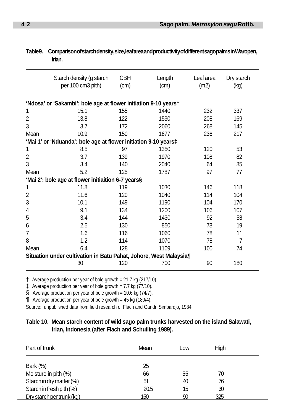|                | Starch density (g starch                                          | <b>CBH</b>   | Length | Leaf area | Dry starch |  |
|----------------|-------------------------------------------------------------------|--------------|--------|-----------|------------|--|
|                | per 100 cm3 pith)                                                 | (cm)<br>(cm) |        | (m2)      | (kg)       |  |
|                | 'Ndosa' or 'Sakambi': bole age at flower initiation 9-10 years†   |              |        |           |            |  |
| 1              | 15.1                                                              | 155          | 1440   | 232       | 337        |  |
| $\overline{2}$ | 13.8                                                              | 122          | 1530   | 208       | 169        |  |
| 3              | 3.7                                                               | 172          | 2060   | 268       | 145        |  |
| Mean           | 10.9                                                              | 150          | 1677   | 236       | 217        |  |
|                | 'Mai 1' or 'Nduanda': bole age at flower initiation 9-10 years‡   |              |        |           |            |  |
| 1              | 8.5                                                               | 97           | 1350   | 120       | 53         |  |
| 2              | 3.7                                                               | 139          | 1970   | 108       | 82         |  |
| 3              | 3.4                                                               | 140          | 2040   | 64        | 85         |  |
| Mean           | 5.2                                                               | 125          | 1787   | 97        | 77         |  |
|                | 'Mai 2': bole age at flower initiaition 6-7 years§                |              |        |           |            |  |
| 1              | 11.8                                                              | 119          | 1030   | 146       | 118        |  |
| 2              | 11.6                                                              | 120          | 1040   | 114       | 104        |  |
| 3              | 10.1                                                              | 149          | 1190   | 104       | 170        |  |
| 4              | 9.1                                                               | 134          | 1200   | 106       | 107        |  |
| 5              | 3.4                                                               | 144          | 1430   | 92        | 58         |  |
| 6              | 2.5                                                               | 130          | 850    | 78        | 19         |  |
| 7              | 1.6                                                               | 116          | 1060   | 78        | 11         |  |
| 8              | 1.2                                                               | 114          | 1070   | 78        | 7          |  |
| Mean           | 6.4                                                               | 128          | 1109   | 100       | 74         |  |
|                | Situation under cultivation in Batu Pahat, Johore, West Malaysia¶ |              |        |           |            |  |
|                | 30                                                                | 120          | 700    | 90        | 180        |  |

### **Table 9. Comparison of starch density, size, leaf area and productivity of different sago palms in Waropen, Irian.**

† Average production per year of bole growth = 21.7 kg (217/10).

‡ Average production per year of bole growth = 7.7 kg (77/10).

§ Average production per year of bole growth = 10.6 kg  $(74/7)$ .

 $\P$  Average production per year of bole growth = 45 kg (180/4).

Source: unpublished data from field research of Flach and Gandri Simbardjo, 1984.

### **Table 10. Mean starch content of wild sago palm trunks harvested on the island Salawati, Irian, Indonesia (after Flach and Schuiling 1989).**

| Part of trunk             | Mean | Low | High |  |
|---------------------------|------|-----|------|--|
| <b>Bark (%)</b>           | 25   |     |      |  |
| Moisture in pith (%)      | 66   | 55  | 70   |  |
| Starch in dry matter (%)  | 51   | 40  | 76   |  |
| Starch in fresh pith (%)  | 20.5 | 15  | 30   |  |
| Dry starch per trunk (kg) | 150  | 90  | 325  |  |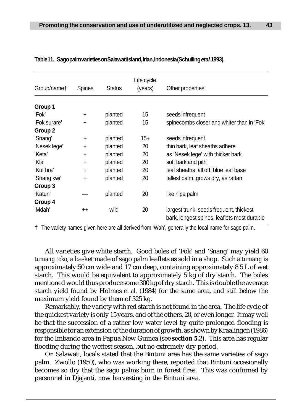| Group/namet  | Spines    | <b>Status</b> | Life cycle<br>(years) | Other properties                                                                       |
|--------------|-----------|---------------|-----------------------|----------------------------------------------------------------------------------------|
|              |           |               |                       |                                                                                        |
| Group 1      |           |               |                       |                                                                                        |
| 'Fok'        | $\ddot{}$ | planted       | 15                    | seeds infrequent                                                                       |
| 'Fok surare' | $\ddot{}$ | planted       | 15                    | spinecombs closer and whiter than in 'Fok'                                             |
| Group 2      |           |               |                       |                                                                                        |
| 'Snang'      | $\ddot{}$ | planted       | $15+$                 | seeds infrequent                                                                       |
| 'Nesek lege' | $\ddot{}$ | planted       | 20                    | thin bark, leaf sheaths adhere                                                         |
| 'Keta'       | $\ddot{}$ | planted       | 20                    | as 'Nesek lege' with thicker bark                                                      |
| ʻKla'        | $\ddot{}$ | planted       | 20                    | soft bark and pith                                                                     |
| 'Kuf bra'    | $\ddot{}$ | planted       | 20                    | leaf sheaths fall off, blue leaf base                                                  |
| 'Snang kwi'  | $\ddot{}$ | planted       | 20                    | tallest palm, grows dry, as rattan                                                     |
| Group 3      |           |               |                       |                                                                                        |
| 'Katun'      |           | planted       | 20                    | like nipa palm                                                                         |
| Group 4      |           |               |                       |                                                                                        |
| 'Mdah'       | $^{++}$   | wild          | 20                    | largest trunk, seeds frequent, thickest<br>bark, longest spines, leaflets most durable |
|              |           |               |                       |                                                                                        |

#### **Table 11. Sago palm varieties on Salawati island, Irian, Indonesia (Schuiling et al. 1993).**

† The variety names given here are all derived from 'Wah', generally the local name for sago palm.

All varieties give white starch. Good boles of 'Fok' and 'Snang' may yield 60 *tumang toko*, a basket made of sago palm leaflets as sold in a shop. Such a *tumang* is approximately 50 cm wide and 17 cm deep, containing approximately 8.5 L of wet starch. This would be equivalent to approximately 5 kg of dry starch. The boles mentioned would thus produce some 300 kg of dry starch. This is double the average starch yield found by Holmes *et al.* (1984) for the same area, and still below the maximum yield found by them of 325 kg.

Remarkably, the variety with red starch is not found in the area. The life cycle of the quickest variety is only 15 years, and of the others, 20, or even longer. It may well be that the succession of a rather low water level by quite prolonged flooding is responsible for an extension of the duration of growth, as shown by Kraalingen (1986) for the Imbando area in Papua New Guinea (see **section 5.2**). This area has regular flooding during the wettest season, but no extremely dry period.

On Salawati, locals stated that the Bintuni area has the same varieties of sago palm. Zwollo (1950), who was working there, reported that Bintuni occasionally becomes so dry that the sago palms burn in forest fires. This was confirmed by personnel in Djajanti, now harvesting in the Bintuni area.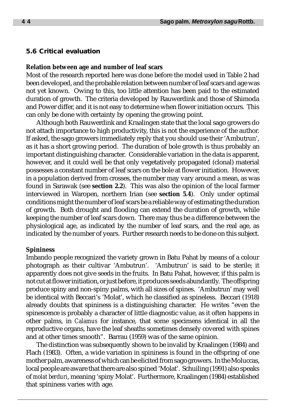#### **5.6 Critical evaluation**

#### **Relation between age and number of leaf scars**

Most of the research reported here was done before the model used in Table 2 had been developed, and the probable relation between number of leaf scars and age was not yet known. Owing to this, too little attention has been paid to the estimated duration of growth. The criteria developed by Rauwerdink and those of Shimoda and Power differ, and it is not easy to determine when flower initiation occurs. This can only be done with certainty by opening the growing point.

Although both Rauwerdink and Kraalingen state that the local sago growers do not attach importance to high productivity, this is not the experience of the author. If asked, the sago growers immediately reply that you should use their 'Ambutrun', as it has a short growing period. The duration of bole growth is thus probably an important distinguishing character. Considerable variation in the data is apparent, however, and it could well be that only vegetatively propagated (clonal) material possesses a constant number of leaf scars on the bole at flower initiation. However, in a population derived from crosses, the number may vary around a mean, as was found in Sarawak (see **section 2.2**). This was also the opinion of the local farmer interviewed in Waropen, northern Irian (see **section 5.4**). Only under optimal conditions might the number of leaf scars be a reliable way of estimating the duration of growth. Both drought and flooding can extend the duration of growth, while keeping the number of leaf scars down. There may thus be a difference between the physiological age, as indicated by the number of leaf scars, and the real age, as indicated by the number of years. Further research needs to be done on this subject.

#### **Spininess**

Imbando people recognized the variety grown in Batu Pahat by means of a colour photograph as their cultivar 'Ambutrun'. 'Ambutrun' is said to be sterile; it apparently does not give seeds in the fruits. In Batu Pahat, however, if this palm is not cut at flower initiation, or just before, it produces seeds abundantly. The offspring produce spiny and non-spiny palms, with all sizes of spines. 'Ambutrun' may well be identical with Beccari's 'Molat', which he classified as spineless. Beccari (1918) already doubts that spininess is a distinguishing character. He writes "even the spinescence is probably a character of little diagnostic value, as it often happens in other palms, in *Calamus* for instance, that some specimens identical in all the reproductive organs, have the leaf sheaths sometimes densely covered with spines and at other times smooth". Barrau (1959) was of the same opinion.

The distinction was subsequently shown to be invalid by Kraalingen (1984) and Flach (1983). Often, a wide variation in spininess is found in the offspring of one mother palm, awareness of which can be elicited from sago growers. In the Moluccas, local people are aware that there are also spined 'Molat'. Schuiling (1991) also speaks of *molat berduri*, meaning 'spiny Molat'. Furthermore, Kraalingen (1984) established that spininess varies with age.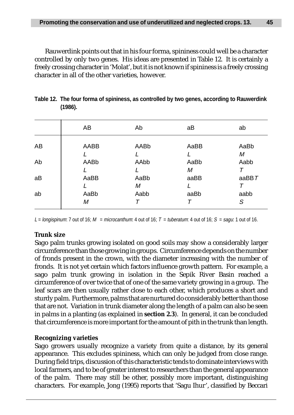Rauwerdink points out that in his four forma, spininess could well be a character controlled by only two genes. His ideas are presented in Table 12. It is certainly a freely crossing character in 'Molat', but it is not known if spininess is a freely crossing character in all of the other varieties, however.

|    | AB        | Ab        | аB        | ab        |
|----|-----------|-----------|-----------|-----------|
| AB | AABB      | AABb      | AaBB      | AaBb      |
| Ab | AABb      | AAbb      | AaBb<br>М | М<br>Aabb |
| aB | AaBB      | AaBb<br>М | aaBB      | aa $BBT$  |
| ab | AaBb<br>М | Aabb      | aaBb      | aabb<br>S |

**Table 12. The four forma of spininess, as controlled by two genes, according to Rauwerdink (1986).**

L = longispinum: 7 out of 16; M = microcanthum: 4 out of 16; T = tuberatum: 4 out of 16; S = sagu: 1 out of 16.

# **Trunk size**

Sago palm trunks growing isolated on good soils may show a considerably larger circumference than those growing in groups. Circumference depends on the number of fronds present in the crown, with the diameter increasing with the number of fronds. It is not yet certain which factors influence growth pattern. For example, a sago palm trunk growing in isolation in the Sepik River Basin reached a circumference of over twice that of one of the same variety growing in a group. The leaf scars are then usually rather close to each other, which produces a short and sturdy palm. Furthermore, palms that are nurtured do considerably better than those that are not. Variation in trunk diameter along the length of a palm can also be seen in palms in a planting (as explained in **section 2.3**). In general, it can be concluded that circumference is more important for the amount of pith in the trunk than length.

## **Recognizing varieties**

Sago growers usually recognize a variety from quite a distance, by its general appearance. This excludes spininess, which can only be judged from close range. During field trips, discussion of this characteristic tends to dominate interviews with local farmers, and to be of greater interest to researchers than the general appearance of the palm. There may still be other, possibly more important, distinguishing characters. For example, Jong (1995) reports that 'Sagu Ihur', classified by Beccari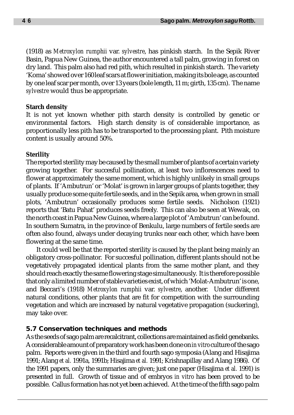(1918) as *Metroxylon rumphii* var. *sylvestre*, has pinkish starch. In the Sepik River Basin, Papua New Guinea, the author encountered a tall palm, growing in forest on dry land. This palm also had red pith, which resulted in pinkish starch. The variety 'Koma' showed over 160 leaf scars at flower initiation, making its bole age, as counted by one leaf scar per month, over 13 years (bole length, 11 m; girth, 135 cm). The name *sylvestre* would thus be appropriate.

### **Starch density**

It is not yet known whether pith starch density is controlled by genetic or environmental factors. High starch density is of considerable importance, as proportionally less pith has to be transported to the processing plant. Pith moisture content is usually around 50%.

## **Sterility**

The reported sterility may be caused by the small number of plants of a certain variety growing together. For succesful pollination, at least two inflorescences need to flower at approximately the same moment, which is highly unlikely in small groups of plants. If 'Ambutrun' or 'Molat' is grown in larger groups of plants together, they usually produce some quite fertile seeds, and in the Sepik area, when grown in small plots, 'Ambutrun' occasionally produces some fertile seeds. Nicholson (1921) reports that 'Batu Pahat' produces seeds freely. This can also be seen at Wewak, on the north coast in Papua New Guinea, where a large plot of 'Ambutrun' can be found. In southern Sumatra, in the province of Benkulu, large numbers of fertile seeds are often also found, always under decaying trunks near each other, which have been flowering at the same time.

It could well be that the reported sterility is caused by the plant being mainly an obligatory cross-pollinator. For succesful pollination, different plants should not be vegetatively propagated identical plants from the same mother plant, and they should reach exactly the same flowering stage simultaneously. It is therefore possible that only a limited number of stable varieties exist, of which 'Molat-Ambutrun' is one, and Beccari's (1918) *Metroxylon rumphii* var. *sylvestre*, another. Under different natural conditions, other plants that are fit for competition with the surrounding vegetation and which are increased by natural vegetative propagation (suckering), may take over.

## **5.7 Conservation techniques and methods**

As the seeds of sago palm are recalcitrant, collections are maintained as field genebanks. A considerable amount of preparatory work has been done on *in vitro* culture of the sago palm. Reports were given in the third and fourth sago symposia (Alang and Hisajima 1991; Alang *et al.* 1991a, 1991b; Hisajima *et al.* 1991; Krishnapillay and Alang 1986). Of the 1991 papers, only the summaries are given; just one paper (Hisajima *et al.* 1991) is presented in full. Growth of tissue and of embryos *in vitro* has been proved to be possible. Callus formation has not yet been achieved. At the time of the fifth sago palm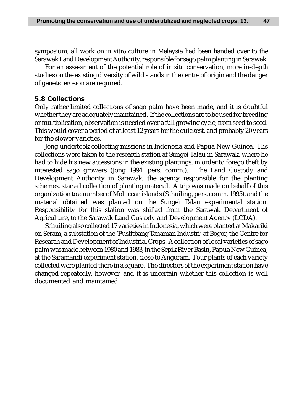symposium, all work on *in vitro* culture in Malaysia had been handed over to the Sarawak Land Development Authority, responsible for sago palm planting in Sarawak.

For an assessment of the potential role of *in situ* conservation, more in-depth studies on the existing diversity of wild stands in the centre of origin and the danger of genetic erosion are required.

#### **5.8 Collections**

Only rather limited collections of sago palm have been made, and it is doubtful whether they are adequately maintained. If the collections are to be used for breeding or multiplication, observation is needed over a full growing cycle, from seed to seed. This would cover a period of at least 12 years for the quickest, and probably 20 years for the slower varieties.

Jong undertook collecting missions in Indonesia and Papua New Guinea. His collections were taken to the research station at Sungei Talau in Sarawak, where he had to hide his new accessions in the existing plantings, in order to forego theft by interested sago growers (Jong 1994, pers. comm.). The Land Custody and Development Authority in Sarawak, the agency responsible for the planting schemes, started collection of planting material. A trip was made on behalf of this organization to a number of Moluccan islands (Schuiling, pers. comm. 1995), and the material obtained was planted on the Sungei Talau experimental station. Responsibility for this station was shifted from the Sarawak Department of Agriculture, to the Sarawak Land Custody and Development Agency (LCDA).

Schuiling also collected 17 varieties in Indonesia, which were planted at Makariki on Seram, a substation of the 'Puslitbang Tanaman Industri' at Bogor, the Centre for Research and Development of Industrial Crops. A collection of local varieties of sago palm was made between 1980 and 1983, in the Sepik River Basin, Papua New Guinea, at the Saramandi experiment station, close to Angoram. Four plants of each variety collected were planted there in a square. The directors of the experiment station have changed repeatedly, however, and it is uncertain whether this collection is well documented and maintained.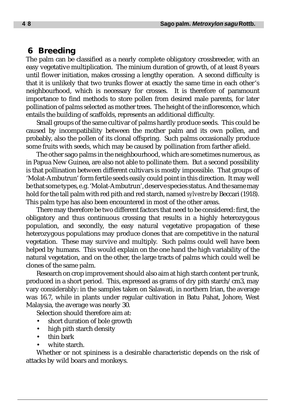# **6 Breeding**

The palm can be classified as a nearly complete obligatory crossbreeder, with an easy vegetative multiplication. The minium duration of growth, of at least 8 years until flower initiation, makes crossing a lengthy operation. A second difficulty is that it is unlikely that two trunks flower at exactly the same time in each other's neighbourhood, which is necessary for crosses. It is therefore of paramount importance to find methods to store pollen from desired male parents, for later pollination of palms selected as mother trees. The height of the inflorescence, which entails the building of scaffolds, represents an additional difficulty.

Small groups of the same cultivar of palms hardly produce seeds. This could be caused by incompatibility between the mother palm and its own pollen, and probably, also the pollen of its clonal offspring. Such palms occasionally produce some fruits with seeds, which may be caused by pollination from farther afield.

The other sago palms in the neighbourhood, which are sometimes numerous, as in Papua New Guinea, are also not able to pollinate them. But a second possibility is that pollination between different cultivars is mostly impossible. That groups of 'Molat-Ambutrun' form fertile seeds easily could point in this direction. It may well be that some types, e.g. 'Molat-Ambutrun', deserve species status. And the same may hold for the tall palm with red pith and red starch, named *sylvestre* by Beccari (1918). This palm type has also been encountered in most of the other areas.

There may therefore be two different factors that need to be considered: first, the obligatory and thus continuous crossing that results in a highly heterozygous population, and secondly, the easy natural vegetative propagation of these heterozygous populations may produce clones that are competitive in the natural vegetation. These may survive and multiply. Such palms could well have been helped by humans. This would explain on the one hand the high variability of the natural vegetation, and on the other, the large tracts of palms which could well be clones of the same palm.

Research on crop improvement should also aim at high starch content per trunk, produced in a short period. This, expressed as grams of dry pith starch/cm3, may vary considerably: in the samples taken on Salawati, in northern Irian, the average was 16.7, while in plants under regular cultivation in Batu Pahat, Johore, West Malaysia, the average was nearly 30.

Selection should therefore aim at:

- short duration of bole growth
- high pith starch density
- thin bark
- white starch.

Whether or not spininess is a desirable characteristic depends on the risk of attacks by wild boars and monkeys.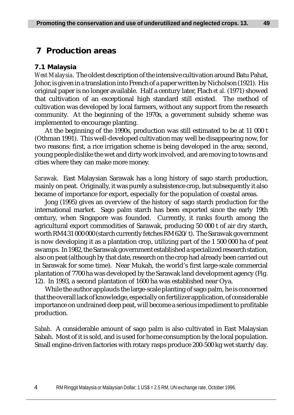# **7 Production areas**

#### **7.1 Malaysia**

*West Malaysia*. The oldest description of the intensive cultivation around Batu Pahat, Johor, is given in a translation into French of a paper written by Nicholson (1921). His original paper is no longer available. Half a century later, Flach *et al.* (1971) showed that cultivation of an exceptional high standard still existed. The method of cultivation was developed by local farmers, without any support from the research community. At the beginning of the 1970s, a government subsidy scheme was implemented to encourage planting.

At the beginning of the 1990s, production was still estimated to be at 11 000 t (Othman 1991). This well-developed cultivation may well be disappearing now, for two reasons: first, a rice irrigation scheme is being developed in the area; second, young people dislike the wet and dirty work involved, and are moving to towns and cities where they can make more money.

*Sarawak*. East Malaysian Sarawak has a long history of sago starch production, mainly on peat. Originally, it was purely a subsistence crop, but subsequently it also became of importance for export, especially for the population of coastal areas.

Jong (1995) gives an overview of the history of sago starch production for the international market. Sago palm starch has been exported since the early 19th century, when Singapore was founded. Currently, it ranks fourth among the agricultural export commodities of Sarawak, producing 50 000 t of air dry starch, worth RM4 31 000 000 (starch currently fetches RM 620/t). The Sarawak government is now developing it as a plantation crop, utilizing part of the 1 500 000 ha of peat swamps. In 1982, the Sarawak government established a specialized research station, also on peat (although by that date, research on the crop had already been carried out in Sarawak for some time). Near Mukah, the world's first large-scale commercial plantation of 7700 ha was developed by the Sarawak land development agency (Fig. 12). In 1993, a second plantation of 1600 ha was established near Oya.

While the author applauds the large-scale planting of sago palm, he is concerned that the overall lack of knowledge, especially on fertilizer application, of considerable importance on undrained deep peat, will become a serious impediment to profitable production.

*Sabah*. A considerable amount of sago palm is also cultivated in East Malaysian Sabah. Most of it is sold, and is used for home consumption by the local population. Small engine-driven factories with rotary rasps produce 200-500 kg wet starch/day.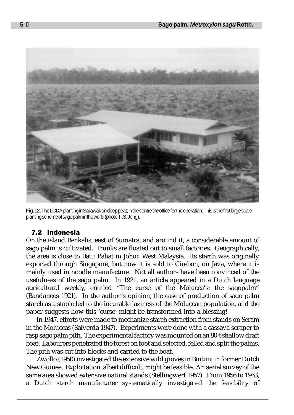

**Fig. 12.** The LCDA planting in Sarawak on deep peat; in the centre the office for the operation. This is the first large scale planting scheme of sago palm in the world (photo: F.S. Jong).

# 7.2 Indonesia

On the island Benkalis, east of Sumatra, and around it, a considerable amount of sago palm is cultivated. Trunks are floated out to small factories. Geographically, the area is close to Batu Pahat in Johor, West Malaysia. Its starch was originally exported through Singapore, but now it is sold to Cirebon, on Java, where it is mainly used in noodle manufacture. Not all authors have been convinced of the usefulness of the sago palm. In 1921, an article appeared in a Dutch language agricultural weekly, entitled "The curse of the Molucca's: the sagopalm" (Bandanees 1921*)*. In the author's opinion, the ease of production of sago palm starch as a staple led to the incurable laziness of the Moluccan population, and the paper suggests how this 'curse' might be transformed into a blessing!

In 1947, efforts were made to mechanize starch extraction from stands on Seram in the Moluccas (Salverda 1947). Experiments were done with a cassava scraper to rasp sago palm pith. The experimental factory was mounted on an 80-t shallow draft boat. Labourers penetrated the forest on foot and selected, felled and split the palms. The pith was cut into blocks and carried to the boat.

Zwollo (1950) investigated the extensive wild groves in Bintuni in former Dutch New Guinea. Exploitation, albeit difficult, might be feasible. An aerial survey of the same area showed extensive natural stands (Stellingwerf 1957). From 1956 to 1963, a Dutch starch manufacturer systematically investigated the feasibility of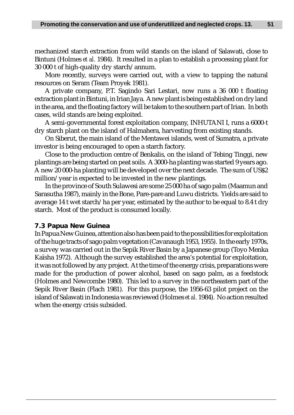mechanized starch extraction from wild stands on the island of Salawati, close to Bintuni (Holmes *et al.* 1984). It resulted in a plan to establish a processing plant for 30 000 t of high-quality dry starch/annum.

More recently, surveys were carried out, with a view to tapping the natural resources on Seram (Team Proyek 1981).

A private company, P.T. Sagindo Sari Lestari, now runs a 36 000 t floating extraction plant in Bintuni, in Irian Jaya. A new plant is being established on dry land in the area, and the floating factory will be taken to the southern part of Irian. In both cases, wild stands are being exploited.

A semi-governmental forest exploitation company, INHUTANI I, runs a 6000-t dry starch plant on the island of Halmahera, harvesting from existing stands.

On Siberut, the main island of the Mentawei islands, west of Sumatra, a private investor is being encouraged to open a starch factory.

Close to the production centre of Benkalis, on the island of Tebing Tinggi, new plantings are being started on peat soils. A 3000-ha planting was started 9 years ago. A new 20 000-ha planting will be developed over the next decade. The sum of US\$2 million/year is expected to be invested in the new plantings.

In the province of South Sulawesi are some 25 000 ha of sago palm (Maamun and Sarasutha 1987), mainly in the Bone, Pare-pare and Luwu districts. Yields are said to average 14 t wet starch/ha per year, estimated by the author to be equal to 8.4 t dry starch. Most of the product is consumed locally.

### **7.3 Papua New Guinea**

In Papua New Guinea, attention also has been paid to the possibilities for exploitation of the huge tracts of sago palm vegetation (Cavanaugh 1953, 1955). In the early 1970s, a survey was carried out in the Sepik River Basin by a Japanese group (Toyo Menka Kaïsha 1972). Although the survey established the area's potential for exploitation, it was not followed by any project. At the time of the energy crisis, preparations were made for the production of power alcohol, based on sago palm, as a feedstock (Holmes and Newcombe 1980). This led to a survey in the northeastern part of the Sepik River Basin (Flach 1981). For this purpose, the 1956-63 pilot project on the island of Salawati in Indonesia was reviewed (Holmes *et al.* 1984). No action resulted when the energy crisis subsided.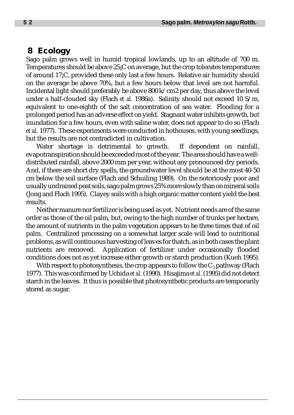# **8 Ecology**

Sago palm grows well in humid tropical lowlands, up to an altitude of 700 m. Temperatures should be above 25¡C on average, but the crop tolerates temperatures of around 17¡C, provided these only last a few hours. Relative air humidity should on the average be above 70%, but a few hours below that level are not harmful. Incidental light should preferably be above 800 k/cm2 per day, thus above the level under a half-clouded sky (Flach *et al.* 1986a). Salinity should not exceed 10 S/m, equivalent to one-eighth of the salt concentration of sea water. Flooding for a prolonged period has an adverse effect on yield. Stagnant water inhibits growth, but inundation for a few hours, even with saline water, does not appear to do so (Flach *et al.* 1977). These experiments were conducted in hothouses, with young seedlings, but the results are not contradicted in cultivation.

Water shortage is detrimental to growth. If dependent on rainfall, evapotranspiration should be exceeded most of the year. The area should have a welldistributed rainfall, above 2000 mm per year, without any pronounced dry periods. And, if there are short dry spells, the groundwater level should be at the most 40-50 cm below the soil surface (Flach and Schuiling 1989). On the notoriously poor and usually undrained peat soils, sago palm grows 25% more slowly than on mineral soils (Jong and Flach 1995). Clayey soils with a high organic matter content yield the best results.

Neither manure nor fertilizer is being used as yet. Nutrient needs are of the same order as those of the oil palm, but, owing to the high number of trunks per hectare, the amount of nutrients in the palm vegetation appears to be three times that of oil palm. Centralized processing on a somewhat larger scale will lead to nutritional problems, as will continuous harvesting of leaves for thatch, as in both cases the plant nutrients are removed. Application of fertilizer under occasionally flooded conditions does not as yet increase either growth or starch production (Kueh 1995).

With respect to photosynthesis, the crop appears to follow the  $C_3$  pathway (Flach 1977). This was confirmed by Uchida *et al.* (1990). Hisajima *et al.* (1995) did not detect starch in the leaves. It thus is possible that photosynthetic products are temporarily stored as sugar.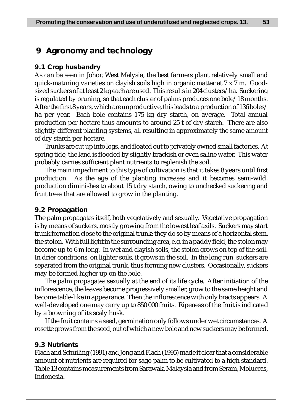# **9 Agronomy and technology**

### **9.1 Crop husbandry**

As can be seen in Johor, West Malysia, the best farmers plant relatively small and quick-maturing varieties on clayish soils high in organic matter at 7 x 7 m. Goodsized suckers of at least 2 kg each are used. This results in 204 clusters/ha. Suckering is regulated by pruning, so that each cluster of palms produces one bole/18 months. After the first 8 years, which are unproductive, this leads to a production of 136 boles/ ha per year. Each bole contains 175 kg dry starch, on average. Total annual production per hectare thus amounts to around 25 t of dry starch. There are also slightly different planting systems, all resulting in approximately the same amount of dry starch per hectare.

Trunks are cut up into logs, and floated out to privately owned small factories. At spring tide, the land is flooded by slightly brackish or even saline water. This water probably carries sufficient plant nutrients to replenish the soil.

The main impediment to this type of cultivation is that it takes 8 years until first production. As the age of the planting increases and it becomes semi-wild, production diminishes to about 15 t dry starch, owing to unchecked suckering and fruit trees that are allowed to grow in the planting.

### **9.2 Propagation**

The palm propagates itself, both vegetatively and sexually. Vegetative propagation is by means of suckers, mostly growing from the lowest leaf axils. Suckers may start trunk formation close to the original trunk; they do so by means of a horizontal stem, the stolon. With full light in the surrounding area, e.g. in a paddy field, the stolon may become up to 6 m long. In wet and clayish soils, the stolon grows on top of the soil. In drier conditions, on lighter soils, it grows in the soil. In the long run, suckers are separated from the original trunk, thus forming new clusters. Occasionally, suckers may be formed higher up on the bole.

The palm propagates sexually at the end of its life cycle. After initiation of the inflorescence, the leaves become progressively smaller, grow to the same height and become table-like in appearance. Then the inflorescence with only bracts appears. A well-developed one may carry up to 850 000 fruits. Ripeness of the fruit is indicated by a browning of its scaly husk.

If the fruit contains a seed, germination only follows under wet circumstances. A rosette grows from the seed, out of which a new bole and new suckers may be formed.

#### **9.3 Nutrients**

Flach and Schuiling (1991) and Jong and Flach (1995) made it clear that a considerable amount of nutrients are required for sago palm to be cultivated to a high standard. Table 13 contains measurements from Sarawak, Malaysia and from Seram, Moluccas, Indonesia.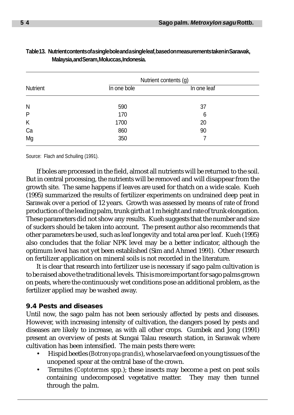|          | Nutrient contents (g) |             |  |  |  |
|----------|-----------------------|-------------|--|--|--|
| Nutrient | In one bole           | In one leaf |  |  |  |
| N        | 590                   | 37          |  |  |  |
| P        | 170                   | 6           |  |  |  |
| K        | 1700                  | 20          |  |  |  |
| Ca       | 860                   | 90          |  |  |  |
| Mg       | 350                   |             |  |  |  |

| Table13. Nutrientcontentsofasingleboleandasingleleaf,basedonmeasurementstaken in Sarawak, |
|-------------------------------------------------------------------------------------------|
| Malaysia, and Seram, Moluccas, Indonesia.                                                 |

Source: Flach and Schuiling (1991).

If boles are processed in the field, almost all nutrients will be returned to the soil. But in central processing, the nutrients will be removed and will disappear from the growth site. The same happens if leaves are used for thatch on a wide scale. Kueh (1995) summarized the results of fertilizer experiments on undrained deep peat in Sarawak over a period of 12 years. Growth was assessed by means of rate of frond production of the leading palm, trunk girth at 1 m height and rate of trunk elongation. These parameters did not show any results. Kueh suggests that the number and size of suckers should be taken into account. The present author also recommends that other parameters be used, such as leaf longevity and total area per leaf. Kueh (1995) also concludes that the foliar NPK level may be a better indicator, although the optimum level has not yet been established (Sim and Ahmed 1991). Other research on fertilizer application on mineral soils is not recorded in the literature.

It is clear that research into fertilizer use is necessary if sago palm cultivation is to be raised above the traditional levels. This is more important for sago palms grown on peats, where the continuously wet conditions pose an additional problem, as the fertilizer applied may be washed away.

### **9.4 Pests and diseases**

Until now, the sago palm has not been seriously affected by pests and diseases. However, with increasing intensity of cultivation, the dangers posed by pests and diseases are likely to increase, as with all other crops. Gumbek and Jong (1991) present an overview of pests at Sungai Talau research station, in Sarawak where cultivation has been intensified. The main pests there were:

- Hispid beetles (*Botronyopa grandis*), whose larvae feed on young tissues of the unopened spear at the central base of the crown.
- Termites (*Coptotermes* spp*.*); these insects may become a pest on peat soils containing undecomposed vegetative matter. They may then tunnel through the palm.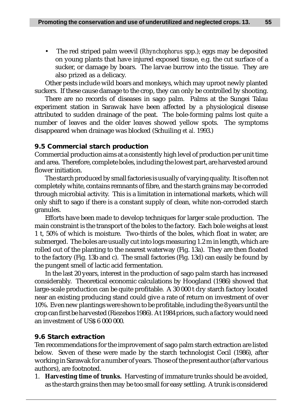• The red striped palm weevil (*Rhynchophorus* spp.); eggs may be deposited on young plants that have injured exposed tissue, e.g. the cut surface of a sucker, or damage by boars. The larvae burrow into the tissue. They are also prized as a delicacy.

Other pests include wild boars and monkeys, which may uproot newly planted suckers. If these cause damage to the crop, they can only be controlled by shooting.

There are no records of diseases in sago palm. Palms at the Sungei Talau experiment station in Sarawak have been affected by a physiological disease attributed to sudden drainage of the peat. The bole-forming palms lost quite a number of leaves and the older leaves showed yellow spots. The symptoms disappeared when drainage was blocked (Schuiling *et al.* 1993.)

## **9.5 Commercial starch production**

Commercial production aims at a consistently high level of production per unit time and area. Therefore, complete boles, including the lowest part, are harvested around flower initiation.

The starch produced by small factories is usually of varying quality. It is often not completely white, contains remnants of fibre, and the starch grains may be corroded through microbial activity. This is a limitation in international markets, which will only shift to sago if there is a constant supply of clean, white non-corroded starch granules.

Efforts have been made to develop techniques for larger scale production. The main constraint is the transport of the boles to the factory. Each bole weighs at least 1 t, 50% of which is moisture. Two-thirds of the boles, which float in water, are submerged. The boles are usually cut into logs measuring 1.2 m in length, which are rolled out of the planting to the nearest waterway (Fig. 13a). They are then floated to the factory (Fig. 13b and c). The small factories (Fig. 13d) can easily be found by the pungent smell of lactic acid fermentation.

In the last 20 years, interest in the production of sago palm starch has increased considerably. Theoretical economic calculations by Hoogland (1986) showed that large-scale production can be quite profitable. A 30 000 t dry starch factory located near an existing producing stand could give a rate of return on investment of over 10%. Even new plantings were shown to be profitable, including the 8 years until the crop can first be harvested (Riezebos 1986). At 1984 prices, such a factory would need an investment of US\$ 6 000 000.

# **9.6 Starch extraction**

Ten recommendations for the improvement of sago palm starch extraction are listed below. Seven of these were made by the starch technologist Cecil (1986), after working in Sarawak for a number of years. Those of the present author (after various authors), are footnoted.

1. **Harvesting time of trunks.** Harvesting of immature trunks should be avoided, as the starch grains then may be too small for easy settling. A trunk is considered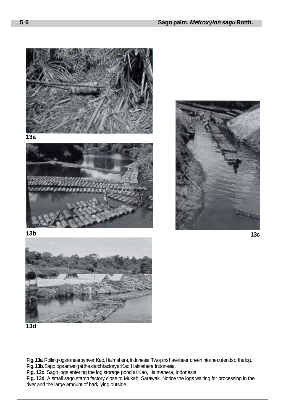

**13d**

**Fig. 13a**. Rolling logs to nearby river, Kao, Halmahera, Indonesia. Two pins have been driven into the cut ends of the log.

**Fig. 13b**. Sago logs arriving at the starch factory at Kao, Halmahera, Indonesia.

**Fig. 13c**. Sago logs entering the log storage pond at Kao, Halmahera, Indonesia.

**Fig. 13d**. A small sago starch factory close to Mukah, Sarawak. Notice the logs waiting for processing in the river and the large amount of bark lying outside.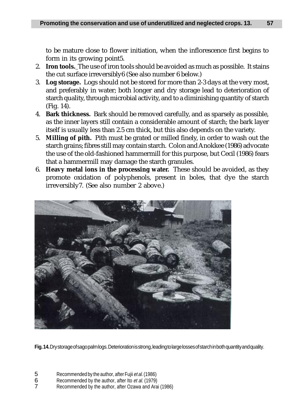to be mature close to flower initiation, when the inflorescence first begins to form in its growing point5.

- 2. **Iron tools.** The use of iron tools should be avoided as much as possible. It stains the cut surface irreversibly6 (See also number 6 below.)
- 3. **Log storage.** Logs should not be stored for more than 2-3 days at the very most, and preferably in water; both longer and dry storage lead to deterioration of starch quality, through microbial activity, and to a diminishing quantity of starch (Fig. 14).
- 4. **Bark thickness.** Bark should be removed carefully, and as sparsely as possible, as the inner layers still contain a considerable amount of starch; the bark layer itself is usually less than 2.5 cm thick, but this also depends on the variety.
- 5. **Milling of pith.** Pith must be grated or milled finely, in order to wash out the starch grains; fibres still may contain starch. Colon and Anokkee (1986) advocate the use of the old-fashioned hammermill for this purpose, but Cecil (1986) fears that a hammermill may damage the starch granules.
- 6. **Heavy metal ions in the processing water.** These should be avoided, as they promote oxidation of polyphenols, present in boles, that dye the starch irreversibly7. (See also number 2 above.)



**Fig. 14.** Dry storage of sago palm logs. Deterioration is strong, leading to large losses of starch in both quantity and quality.

- 6 Recommended by the author, after Ito *et al.* (1979)<br>7 Recommended by the author, after Ozawa and Ara
- Recommended by the author, after Ozawa and Arai (1986)

<sup>5</sup> Recommended by the author, after Fujii et al. (1986)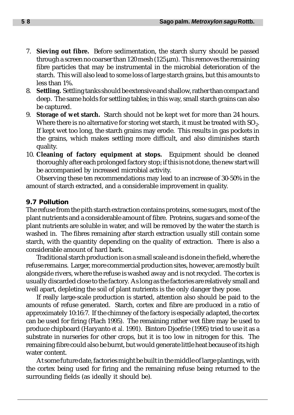- 7. **Sieving out fibre.** Before sedimentation, the starch slurry should be passed through a screen no coarser than  $120$  mesh  $(125 \,\mu m)$ . This removes the remaining fibre particles that may be instrumental in the microbial deterioration of the starch. This will also lead to some loss of large starch grains, but this amounts to less than 1%.
- 8. **Settling.** Settling tanks should be extensive and shallow, rather than compact and deep. The same holds for settling tables; in this way, small starch grains can also be captured.
- 9. **Storage of wet starch.** Starch should not be kept wet for more than 24 hours. Where there is no alternative for storing wet starch, it must be treated with  $SO_2$ . If kept wet too long, the starch grains may erode. This results in gas pockets in the grains, which makes settling more difficult, and also diminishes starch quality.
- 10. **Cleaning of factory equipment at stops.** Equipment should be cleaned thoroughly after each prolonged factory stop; if this is not done, the new start will be accompanied by increased microbial activity.

Observing these ten recommendations may lead to an increase of 30-50% in the amount of starch extracted, and a considerable improvement in quality.

# **9.7 Pollution**

The refuse from the pith starch extraction contains proteins, some sugars, most of the plant nutrients and a considerable amount of fibre. Proteins, sugars and some of the plant nutrients are soluble in water, and will be removed by the water the starch is washed in. The fibres remaining after starch extraction usually still contain some starch, with the quantity depending on the quality of extraction. There is also a considerable amount of hard bark.

Traditional starch production is on a small scale and is done in the field, where the refuse remains. Larger, more commercial production sites, however, are mostly built alongside rivers, where the refuse is washed away and is not recycled. The cortex is usually discarded close to the factory. As long as the factories are relatively small and well apart, depleting the soil of plant nutrients is the only danger they pose.

If really large-scale production is started, attention also should be paid to the amounts of refuse generated. Starch, cortex and fibre are produced in a ratio of approximately 10:16:7. If the chimney of the factory is especially adapted, the cortex can be used for firing (Flach 1995). The remaining rather wet fibre may be used to produce chipboard (Haryanto *et al.* 1991). Bintoro Djoefrie (1995) tried to use it as a substrate in nurseries for other crops, but it is too low in nitrogen for this. The remaining fibre could also be burnt, but would generate little heat because of its high water content.

At some future date, factories might be built in the middle of large plantings, with the cortex being used for firing and the remaining refuse being returned to the surrounding fields (as ideally it should be).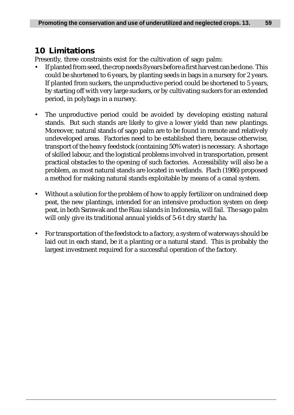# **10 Limitations**

Presently, three constraints exist for the cultivation of sago palm:

- If planted from seed, the crop needs 8 years before a first harvest can be done. This could be shortened to 6 years, by planting seeds in bags in a nursery for 2 years. If planted from suckers, the unproductive period could be shortened to 5 years, by starting off with very large suckers, or by cultivating suckers for an extended period, in polybags in a nursery.
- The unproductive period could be avoided by developing existing natural stands. But such stands are likely to give a lower yield than new plantings. Moreover, natural stands of sago palm are to be found in remote and relatively undeveloped areas. Factories need to be established there, because otherwise, transport of the heavy feedstock (containing 50% water) is necessary. A shortage of skilled labour, and the logistical problems involved in transportation, present practical obstacles to the opening of such factories. Accessibility will also be a problem, as most natural stands are located in wetlands. Flach (1986) proposed a method for making natural stands exploitable by means of a canal system.
- Without a solution for the problem of how to apply fertilizer on undrained deep peat, the new plantings, intended for an intensive production system on deep peat, in both Sarawak and the Riau islands in Indonesia, will fail. The sago palm will only give its traditional annual yields of 5-6 t dry starch/ha.
- For transportation of the feedstock to a factory, a system of waterways should be laid out in each stand, be it a planting or a natural stand. This is probably the largest investment required for a successful operation of the factory.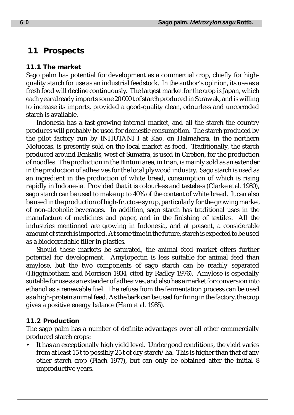# **11 Prospects**

#### **11.1 The market**

Sago palm has potential for development as a commercial crop, chiefly for highquality starch for use as an industrial feedstock. In the author's opinion, its use as a fresh food will decline continuously. The largest market for the crop is Japan, which each year already imports some 20 000 t of starch produced in Sarawak, and is willing to increase its imports, provided a good-quality clean, odourless and uncorroded starch is available.

Indonesia has a fast-growing internal market, and all the starch the country produces will probably be used for domestic consumption. The starch produced by the pilot factory run by INHUTANI I at Kao, on Halmahera, in the northern Moluccas, is presently sold on the local market as food. Traditionally, the starch produced around Benkalis, west of Sumatra, is used in Cirebon, for the production of noodles. The production in the Bintuni area, in Irian, is mainly sold as an extender in the production of adhesives for the local plywood industry. Sago starch is used as an ingredient in the production of white bread, consumption of which is rising rapidly in Indonesia. Provided that it is colourless and tasteless (Clarke *et al.* 1980), sago starch can be used to make up to 40% of the content of white bread. It can also be used in the production of high-fructose syrup, particularly for the growing market of non-alcoholic beverages. In addition, sago starch has traditional uses in the manufacture of medicines and paper, and in the finishing of textiles. All the industries mentioned are growing in Indonesia, and at present, a considerable amount of starch is imported. At some time in the future, starch is expected to be used as a biodegradable filler in plastics.

Should these markets be saturated, the animal feed market offers further potential for development. Amylopectin is less suitable for animal feed than amylose, but the two components of sago starch can be readily separated (Higginbotham and Morrison 1934, cited by Radley 1976). Amylose is especially suitable for use as an extender of adhesives, and also has a market for conversion into ethanol as a renewable fuel. The refuse from the fermentation process can be used as a high-protein animal feed. As the bark can be used for firing in the factory, the crop gives a positive energy balance (Ham *et al.* 1985).

#### **11.2 Production**

The sago palm has a number of definite advantages over all other commercially produced starch crops:

• It has an exceptionally high yield level. Under good conditions, the yield varies from at least 15 t to possibly 25 t of dry starch/ha. This is higher than that of any other starch crop (Flach 1977), but can only be obtained after the initial 8 unproductive years.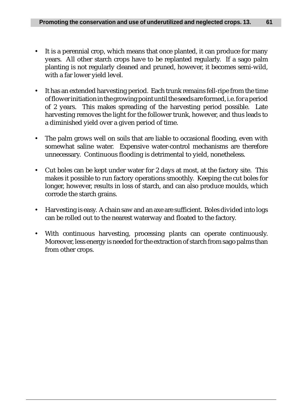- It is a perennial crop, which means that once planted, it can produce for many years. All other starch crops have to be replanted regularly. If a sago palm planting is not regularly cleaned and pruned, however, it becomes semi-wild, with a far lower yield level.
- It has an extended harvesting period. Each trunk remains fell-ripe from the time of flower initiation in the growing point until the seeds are formed, i.e. for a period of 2 years. This makes spreading of the harvesting period possible. Late harvesting removes the light for the follower trunk, however, and thus leads to a diminished yield over a given period of time.
- The palm grows well on soils that are liable to occasional flooding, even with somewhat saline water. Expensive water-control mechanisms are therefore unnecessary. Continuous flooding is detrimental to yield, nonetheless.
- Cut boles can be kept under water for 2 days at most, at the factory site. This makes it possible to run factory operations smoothly. Keeping the cut boles for longer, however, results in loss of starch, and can also produce moulds, which corrode the starch grains.
- Harvesting is easy. A chain saw and an axe are sufficient. Boles divided into logs can be rolled out to the nearest waterway and floated to the factory.
- With continuous harvesting, processing plants can operate continuously. Moreover, less energy is needed for the extraction of starch from sago palms than from other crops.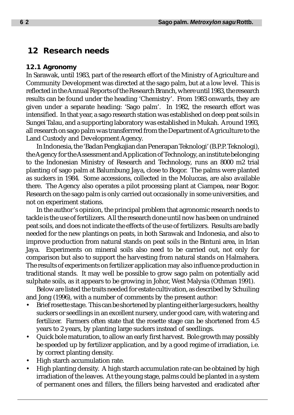# **12 Research needs**

#### **12.1 Agronomy**

In Sarawak, until 1983, part of the research effort of the Ministry of Agriculture and Community Development was directed at the sago palm, but at a low level. This is reflected in the Annual Reports of the Research Branch, where until 1983, the research results can be found under the heading 'Chemistry'. From 1983 onwards, they are given under a separate heading: 'Sago palm'. In 1982, the research effort was intensified. In that year, a sago research station was established on deep peat soils in Sungei Talau, and a supporting laboratory was established in Mukah. Around 1993, all research on sago palm was transferrred from the Department of Agriculture to the Land Custody and Development Agency.

In Indonesia, the 'Badan Pengkajian dan Penerapan Teknologi' (B.P.P. Teknologi), the Agency for the Assessment and Application of Technology, an institute belonging to the Indonesian Ministry of Research and Technology, runs an 8000 m2 trial planting of sago palm at Balumbung Jaya, close to Bogor. The palms were planted as suckers in 1984. Some accessions, collected in the Moluccas, are also available there. The Agency also operates a pilot processing plant at Ciampea, near Bogor. Research on the sago palm is only carried out occasionally in some universities, and not on experiment stations.

In the author's opinion, the principal problem that agronomic research needs to tackle is the use of fertilizers. All the research done until now has been on undrained peat soils, and does not indicate the effects of the use of fertilizers. Results are badly needed for the new plantings on peats, in both Sarawak and Indonesia, and also to improve production from natural stands on peat soils in the Bintuni area, in Irian Jaya. Experiments on mineral soils also need to be carried out, not only for comparison but also to support the harvesting from natural stands on Halmahera. The results of experiments on fertilizer application may also influence production in traditional stands. It may well be possible to grow sago palm on potentially acid sulphate soils, as it appears to be growing in Johor, West Malysia (Othman 1991).

Below are listed the traits needed for estate cultivation, as described by Schuiling and Jong (1996), with a number of comments by the present author:

- Brief rosette stage. This can be shortened by planting either large suckers, healthy suckers or seedlings in an excellent nursery, under good care, with watering and fertilizer. Farmers often state that the rosette stage can be shortened from 4.5 years to 2 years, by planting large suckers instead of seedlings.
- Quick bole maturation, to allow an early first harvest. Bole growth may possibly be speeded up by fertilizer application, and by a good regime of irradiation, i.e. by correct planting density.
- High starch accumulation rate.
- High planting density. A high starch accumulation rate can be obtained by high irradiation of the leaves. At the young stage, palms could be planted in a system of permanent ones and fillers, the fillers being harvested and eradicated after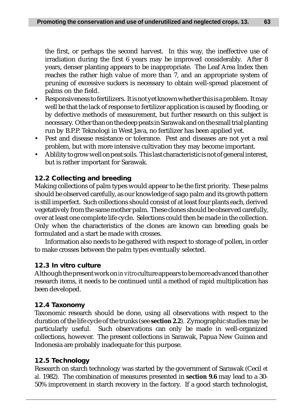the first, or perhaps the second harvest. In this way, the ineffective use of irradiation during the first 6 years may be improved considerably. After 8 years, denser planting appears to be inappropriate. The Leaf Area Index then reaches the rather high value of more than 7, and an appropriate system of pruning of excessive suckers is necessary to obtain well-spread placement of palms on the field.

- Responsiveness to fertilizers. It is not yet known whether this is a problem. It may well be that the lack of response to fertilizer application is caused by flooding, or by defective methods of measurement, but further research on this subject is necessary. Other than on the deep peats in Sarawak and on the small trial planting run by B.P.P. Teknologi in West Java, no fertilizer has been applied yet.
- Pest and disease resistance or tolerance. Pest and diseases are not yet a real problem, but with more intensive cultivation they may become important.
- Ablility to grow well on peat soils. This last characteristic is not of general interest, but is rather important for Sarawak.

# **12.2 Collecting and breeding**

Making collections of palm types would appear to be the first priority. These palms should be observed carefully, as our knowledge of sago palm and its growth pattern is still imperfect. Such collections should consist of at least four plants each, derived vegetatively from the same mother palm. These clones should be observed carefully, over at least one complete life cycle. Selections could then be made in the collection. Only when the characteristics of the clones are known can breeding goals be formulated and a start be made with crosses.

Information also needs to be gathered with respect to storage of pollen, in order to make crosses between the palm types eventually selected.

### **12.3** *In vitro* **culture**

Although the present work on *in vitro* culture appears to be more advanced than other research items, it needs to be continued until a method of rapid multiplication has been developed.

## **12.4 Taxonomy**

Taxonomic research should be done, using all observations with respect to the duration of the life cycle of the trunks (see **section 2.2**). Zymographic studies may be particularly useful. Such observations can only be made in well-organized collections, however. The present collections in Sarawak, Papua New Guinea and Indonesia are probably inadequate for this purpose.

## **12.5 Technology**

Research on starch technology was started by the government of Sarawak (Cecil *et al.* 1982). The combination of measures presented in **section 9.6** may lead to a 30- 50% improvement in starch recovery in the factory. If a good starch technologist,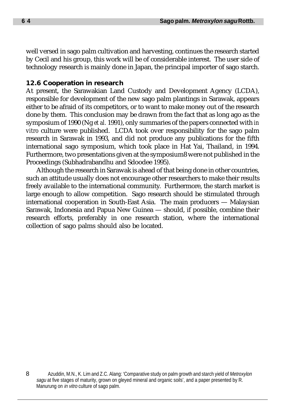well versed in sago palm cultivation and harvesting, continues the research started by Cecil and his group, this work will be of considerable interest. The user side of technology research is mainly done in Japan, the principal importer of sago starch.

### **12.6 Cooperation in research**

At present, the Sarawakian Land Custody and Development Agency (LCDA), responsible for development of the new sago palm plantings in Sarawak, appears either to be afraid of its competitors, or to want to make money out of the research done by them. This conclusion may be drawn from the fact that as long ago as the symposium of 1990 (Ng *et al.* 1991), only summaries of the papers connected with *in vitro* culture were published. LCDA took over responsibility for the sago palm research in Sarawak in 1993, and did not produce any publications for the fifth international sago symposium, which took place in Hat Yai, Thailand, in 1994. Furthermore, two presentations given at the symposium8 were not published in the Proceedings (Subhadrabandhu and Sdoodee 1995).

Although the research in Sarawak is ahead of that being done in other countries, such an attitude usually does not encourage other researchers to make their results freely available to the international community. Furthermore, the starch market is large enough to allow competition. Sago research should be stimulated through international cooperation in South-East Asia. The main producers — Malaysian Sarawak, Indonesia and Papua New Guinea — should, if possible, combine their research efforts, preferably in one research station, where the international collection of sago palms should also be located.

<sup>8</sup> Azuddin, M.N., K. Lim and Z.C. Alang: 'Comparative study on palm growth and starch yield of Metroxylon sagu at five stages of maturity, grown on gleyed mineral and organic soils', and a paper presented by R. Manurung on in vitro culture of sago palm.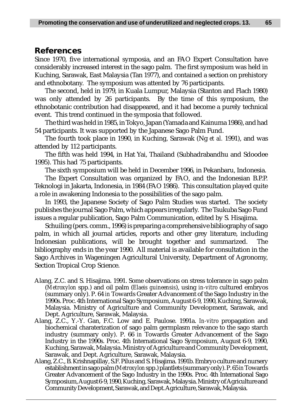### **References**

Since 1970, five international symposia, and an FAO Expert Consultation have considerably increased interest in the sago palm. The first symposium was held in Kuching, Sarawak, East Malaysia (Tan 1977), and contained a section on prehistory and ethnobotany. The symposium was attented by 76 participants.

The second, held in 1979, in Kuala Lumpur, Malaysia (Stanton and Flach 1980) was only attended by 26 participants. By the time of this symposium, the ethnobotanic contribution had disappeared, and it had become a purely technical event. This trend continued in the symposia that followed.

The third was held in 1985, in Tokyo, Japan (Yamada and Kainuma 1986), and had 54 participants. It was supported by the Japanese Sago Palm Fund.

The fourth took place in 1990, in Kuching, Sarawak (Ng *et al.* 1991), and was attended by 112 participants.

The fifth was held 1994, in Hat Yai, Thailand (Subhadrabandhu and Sdoodee 1995). This had 75 participants.

The sixth symposium will be held in December 1996, in Pekanbaru, Indonesia.

The Expert Consultation was organized by FAO, and the Indonesian B.P.P. Teknologi in Jakarta, Indonesia, in 1984 (FAO 1986). This consultation played quite a role in awakening Indonesia to the possibilities of the sago palm.

In 1993, the Japanese Society of Sago Palm Studies was started. The society publishes the journal Sago Palm, which appears irregularly. The Tsukuba Sago Fund issues a regular publication, Sago Palm Communication, edited by S. Hisajima.

Schuiling (pers. comm., 1996) is preparing a comprehensive bibliography of sago palm, in which all journal articles, reports and other grey literature, including Indonesian publications, will be brought together and summarized. The bibliography ends in the year 1990. All material is available for consultation in the Sago Archives in Wageningen Agricultural University, Department of Agronomy, Section Tropical Crop Science.

- Alang, Z.C. and S. Hisajima. 1991. Some observations on stress tolerance in sago palm (*Metroxylon* spp*.*) and oil palm (*Elaeis guineensis*), using *in-vitro* cultured embryos (summary only). P. 64 *in* Towards Greater Advancement of the Sago Industry in the 1990s. Proc. 4th International Sago Symposium, August 6-9, 1990, Kuching, Sarawak, Malaysia. Ministry of Agriculture and Community Development, Sarawak, and Dept. Agriculture, Sarawak, Malaysia.
- Alang, Z.C., Y.-Y. Gan, F.C. Low and E. Paulose. 1991a. *In-vitro* propagation and biochemical charaterization of sago palm germplasm relevance to the sago starch industry (summary only). P. 66 *in* Towards Greater Advancement of the Sago Industry in the 1990s. Proc. 4th International Sago Symposium, August 6-9, 1990, Kuching, Sarawak, Malaysia. Ministry of Agriculture and Community Development, Sarawak, and Dept. Agriculture, Sarawak, Malaysia.
- Alang, Z.C., B. Krishnapillay, S.F. Pilus and S. Hisajima. 1991b. Embryo culture and nursery establishment in sago palm (*Metroxylon* spp.) plantlets (summary only). P. 65 *in* Towards Greater Advancement of the Sago Industry in the 1990s. Proc. 4th International Sago Symposium, August 6-9, 1990, Kuching, Sarawak, Malaysia. Ministry of Agriculture and Community Development, Sarawak, and Dept. Agriculture, Sarawak, Malaysia.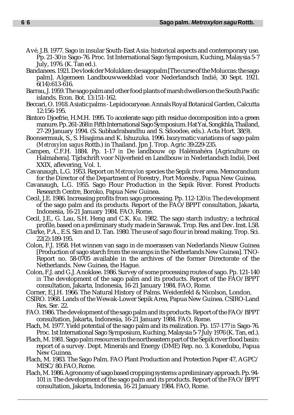- Avé, J.B. 1977. Sago in insular South-East Asia: historical aspects and contemporary use. Pp. 21-30 *in* Sago-76. Proc. 1st International Sago Symposium, Kuching, Malaysia 5-7 July, 1976. (K. Tan ed.).
- Bandanees. 1921. De vloek der Molukken: de sagopalm [The curse of the Moluccas: the sago palm]. Algemeen Landbouwweekblad voor Nederlandsch Indië, 30 Sept. 1921. 6(14):613-616.
- Barrau, J. 1959. The sago palm and other food plants of marsh dwellers on the South Pacific islands. Econ. Bot. 13:151-162.
- Beccari, O. 1918. Asiatic palms Lepidocaryeae. Annals Royal Botanical Garden, Calcutta 12:156-195.
- Bintoro Djoefrie, H.M.H. 1995. To accelerate sago pith residue decomposition into a green manure. Pp. 261-268 *in* Fifth International Sago Symposium. Hat Yai, Songkhla, Thailand, 27-29 January 1994. (S. Subhadrabandhu and S. Sdoodee, eds.). Acta Hort. 38(9).
- Boonsermsuk, S., S. Hisajima and K. Ishuzuka. 1996. Isozymatic variations of sago palm (*Metroxylon sagu*s Rottb.) in Thailand. Jpn J. Trop. Agric 39:229-235.
- Campen, C.F.H. 1884. Pp. 1-17 *in* De landbouw op Halémahéra [Agriculture on Halmahera]. Tijdschrift voor Nijverheid en Landbouw in Nederlandsch Indië, Deel XXIX, aflevering, Vol. 1.
- Cavanaugh, L.G. 1953. Report on *Metroxylon* species the Sepik river area. Memorandum for the Director of the Department of Forestry, Port Moresby, Papua New Guinea.
- Cavanaugh, L.G. 1955. Sago Flour Production in the Sepik River. Forest Products Research Centre, Boroko, Papua New Guinea.
- Cecil, J.E. 1986. Increasing profits from sago processing. Pp. 112-120 *in* The development of the sago palm and its products. Report of the FAO/BPPT consultation, Jakarta, Indonesia, 16-21 January 1984. FAO, Rome.
- Cecil, J.E., G. Lau, S.H. Heng and C.K. Ku. 1982. The sago starch industry; a technical profile, based on a preliminary study made in Sarawak. Trop. Res. and Dev. Inst. L58.
- Clarke, P.A., E.S. Sim and D. Tan. 1980. The use of sago flour in bread making. Trop. Sci. 22(2):189-195.
- Colon, F.J. 1958. Het winnen van sago in de moerassen van Nederlands Nieuw Guinea [Production of sago starch from the swamps in the Netherlands New Guinea]. TNO-Report no. 58-0705 available in the archives of the former Directorate of the Netherlands. New Guinea, the Hague.
- Colon, F.J. and G.J. Anokkee. 1986. Survey of some processing routes of sago. Pp. 121-140 *in* The development of the sago palm and its products. Report of the FAO/BPPT consultation, Jakarta, Indonesia, 16-21 January 1984. FAO, Rome.
- Corner, E.J.H. 1966. The Natural History of Palms. Weidenfeld & Nicolson, London.
- CSIRO. 1968. Lands of the Wewak-Lower Sepik Area, Papua New Guinea. CSIRO-Land Res. Ser. 22.
- FAO. 1986. The development of the sago palm and its products. Report of the FAO/BPPT consultation, Jakarta, Indonesia, 16-21 January 1984. FAO, Rome.
- Flach, M. 1977. Yield potential of the sago palm and its realization. Pp. 157-177 *in* Sago-76. Proc. 1st International Sago Symposium, Kuching, Malaysia 5-7 July 1976 (K. Tan, ed.).
- Flach, M. 1981. Sago palm resources in the northeastern part of the Sepik river flood basin: report of a survey. Dept. Minerals and Energy (DME) Rep. no. 3. Konedobu, Papua New Guinea.
- Flach, M. 1983. The Sago Palm. FAO Plant Production and Protection Paper 47, AGPC/ MISC/80. FAO, Rome.
- Flach, M. 1986. Agronomy of sago based cropping systems: a preliminary approach. Pp. 94- 101 *in* The development of the sago palm and its products. Report of the FAO/BPPT consultation, Jakarta, Indonesia, 16-21 January 1984. FAO, Rome.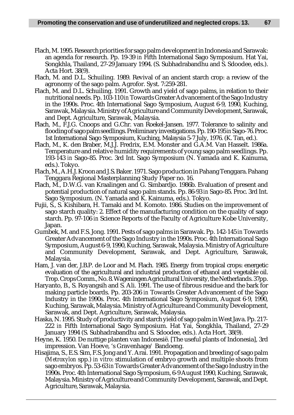- Flach, M. 1995. Research priorities for sago palm development in Indonesia and Sarawak: an agenda for research. Pp. 19-39 *in* Fifth International Sago Symposium. Hat Yai, Songkhla, Thailand, 27-29 January 1994. (S. Subhadrabandhu and S. Sdoodee, eds.). Acta Hort. 38(9).
- Flach, M. and D.L. Schuiling. 1989. Revival of an ancient starch crop: a review of the agronomy of the sago palm. Agrofor. Syst. 7:259-281.
- Flach, M. and D.L. Schuiling. 1991. Growth and yield of sago palms, in relation to their nutritional needs. Pp. 103-110 *in* Towards Greater Advancement of the Sago Industry in the 1990s. Proc. 4th International Sago Symposium, August 6-9, 1990, Kuching, Sarawak, Malaysia. Ministry of Agriculture and Community Development, Sarawak, and Dept. Agriculture, Sarawak, Malaysia.
- Flach, M., F.J.G. Cnoops and G.Chr. van Roekel-Jansen. 1977. Tolerance to salinity and flooding of sago palm seedlings. Preliminary investigations. Pp. 190-195 *in* Sago-76. Proc. 1st International Sago Symposium, Kuching, Malaysia 5-7 July, 1976. (K. Tan, ed.).
- Flach, M., K. den Braber, M.J.J. Fredrix, E.M. Monster and G.A.M. Van Hasselt. 1986a. Temperature and relative humidity requirements of young sago palm seedlings. Pp. 193-143 *in* Sago-85. Proc. 3rd Int. Sago Symposium (N. Yamada and K. Kainuma, eds.). Tokyo.
- Flach, M., A.H.J. Kroon and J.S. Baker. 1971. Sago production in Pahang Tenggara. Pahang Tenggara Regional Masterplanning Study Paper no. 16.
- Flach, M., D.W.G. van Kraalingen and G. Simbardjo. 1986b. Evaluation of present and potential production of natural sago palm stands. Pp. 86-93 *in* Sago-85. Proc. 3rd Int. Sago Symposium. (N. Yamada and K. Kainuma, eds.). Tokyo.
- Fujii, S., S. Kishibara, H. Tamaki and M. Komoto. 1986. Studies on the improvement of sago starch quality: 2. Effect of the manufacturing condition on the quality of sago starch. Pp. 97-106 *in* Science Reports of the Faculty of Agriculture Kobe University, Japan.
- Gumbek, M. and F.S. Jong. 1991. Pests of sago palms in Sarawak. Pp. 142-145 *in* Towards Greater Advancement of the Sago Industry in the 1990s. Proc. 4th International Sago Symposium, August 6-9, 1990, Kuching, Sarawak, Malaysia. Ministry of Agriculture and Community Development, Sarawak, and Dept. Agriculture, Sarawak, Malaysia.
- Ham, J. van der, J.B.P. de Loor and M. Flach. 1985. Energy from tropical crops: energetic evaluation of the agricultural and industrial production of ethanol and vegetable oil. Trop. Crops Comm., No. 8. Wageningen Agricultural University, the Netherlands. 37pp.
- Haryanto, B., S. Royangsih and S. Ali. 1991. The use of fibrous residue and the bark for making particle boards. Pp. 203-206 *in* Towards Greater Advancement of the Sago Industry in the 1990s. Proc. 4th International Sago Symposium, August 6-9, 1990, Kuching, Sarawak, Malaysia. Ministry of Agriculture and Community Development, Sarawak, and Dept. Agriculture, Sarawak, Malaysia.
- Haska, N. 1995. Study of productivity and starch yield of sago palm in West Java. Pp. 217- 222 *in* Fifth International Sago Symposium. Hat Yai, Songkhla, Thailand, 27-29 January 1994 (S. Subhadrabandhu and S. Sdoodee, eds.). Acta Hort. 38(9).
- Heyne, K. 1950. De nuttige planten van Indonesië. [The useful plants of Indonesia], 3rd impression. Van Hoeve, 's Gravenhage/ Bandoeng.
- Hisajima, S., E.S. Sim, F.S. Jong and Y. Arai. 1991. Propagation and breeding of sago palm (*Metroxylon* spp*.*) *in vitro*: stimulation of embryo growth and multiple shoots from sago embryos. Pp. 53-63 *in* Towards Greater Advancement of the Sago Industry in the 1990s. Proc. 4th International Sago Symposium, 6-9 August 1990, Kuching, Sarawak, Malaysia. Ministry of Agriculture and Community Development, Sarawak, and Dept. Agriculture, Sarawak, Malaysia.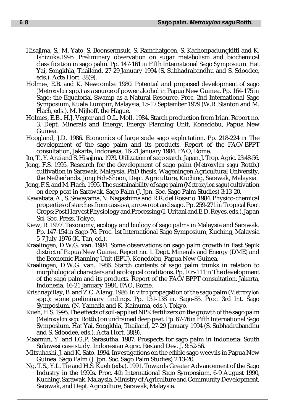- Hisajima, S., M. Yato, S. Boonsermsuk, S. Ramchatgoen, S. Kachonpadungkitti and K. Ishizuka.1995. Preliminary observation on sugar metabolism and biochemical classification in sago palm. Pp. 147-161 *in* Fifth International Sago Symposium. Hat Yai, Songkhla, Thailand, 27-29 January 1994 (S. Subhadrabandhu and S. Sdoodee, eds.). Acta Hort. 38(9).
- Holmes, E.B. and K. Newcombe. 1980. Potential and proposed development of sago *(Metroxylon* spp*.)* as a source of power alcohol in Papua New Guinea. Pp. 164-175 *in* Sago: the Equatorial Swamp as a Natural Resource. Proc. 2nd International Sago Symposium, Kuala Lumpur, Malaysia, 15-17 September 1979 (W.R. Stanton and M. Flach, eds.). M. Nijhoff, the Hague.
- Holmes, E.B., H.J. Vegter and O.L. Moll. 1984. Starch production from Irian. Report no. 3. Dept. Minerals and Energy, Energy Planning Unit, Konedobu, Papua New Guinea.
- Hoogland, J.D. 1986. Economics of large scale sago exploitation. Pp. 218-224 *in* The development of the sago palm and its products. Report of the FAO/BPPT consultation, Jakarta, Indonesia, 16-21 January 1984. FAO, Rome.
- Ito, T., Y. Arai and S. Hisajima. 1979. Utilization of sago starch. Japan. J. Trop. Agric. 23:48-56.
- Jong, F.S. 1995. Research for the development of sago palm (*Metroxylon sagu* Rottb.) cultivation in Sarawak, Malaysia. PhD thesis, Wageningen Agricultural University, the Netherlands. Jong Foh-Shoon, Dept. Agriculture, Kuching, Sarawak, Malaysia.
- Jong, F.S. and M. Flach. 1995. The sustainability of sago palm (*Metroxylon sagu*) cultivation on deep peat in Sarawak. Sago Palm (J. Jpn. Soc. Sago Palm Studies) 3:13-20.
- Kawabata, A., S. Sawayama, N. Nagashima and R.R. del Rosario. 1984. Physico-chemical properties of starches from cassava, arrowroot and sago. Pp. 259-271 *in* Tropical Root Crops: Post Harvest Physiology and Processing (I. Uritani and E.D. Reyes, eds.). Japan Sci. Soc. Press, Tokyo.
- Kiew, R. 1977. Taxonomy, ecology and biology of sago palms in Malaysia and Sarawak. Pp. 147-154 *in* Sago-76. Proc. 1st International Sago Symposium, Kuching, Malaysia 5-7 July 1976 (K. Tan, ed.).
- Kraalingen, D.W.G. van. 1984. Some observations on sago palm growth in East Sepik district of Papua New Guinea. Report no. 1. Dept. Minerals and Energy (DME) and the Economic Planning Unit (EPU), Konedobu, Papua New Guinea.
- Kraalingen, D.W.G. van. 1986. Starch contents of sago palm trunks in relation to morphological characters and ecological conditions. Pp. 105-111 *in* The development of the sago palm and its products. Report of the FAO/BPPT consultation, Jakarta, Indonesia, 16-21 January 1984. FAO, Rome.
- Krishnapillay, B. and Z.C. Alang. 1986. *In vitro* propagation of the sago palm (*Metroxylon* spp.): some preliminary findings. Pp. 131-138 *in*. Sago-85. Proc. 3rd Int. Sago Symposium. (N. Yamada and K. Kainuma, eds.). Tokyo.
- Kueh, H.S. 1995. The effects of soil-applied NPK fertilizers on the growth of the sago palm (*Metroxylon sagu* Rottb.) on undrained deep peat. Pp. 67-76 *in* Fifth International Sago Symposium. Hat Yai, Songkhla, Thailand, 27-29 January 1994 (S. Subhadrabandhu and S. Sdoodee, eds.). Acta Hort. 38(9).
- Maamun, Y. and I.G.P. Sarasutha. 1987. Prospects for sago palm in Indonesia: South Sulawesi case study. Indonesian Agric. Res.and Dev. J. 9:52-56.
- Mitsuhashi, J. and K. Sato. 1994. Investigations on the edible sago weevils in Papua New Guinea. Sago Palm (J. Jpn. Soc. Sago Palm Studies) 2:13-20.
- Ng, T.S., Y.L. Tie and H.S. Kueh (eds.). 1991. Towards Greater Advancement of the Sago Industry in the 1990s. Proc. 4th International Sago Symposium, 6-9 August 1990, Kuching, Sarawak, Malaysia. Ministry of Agriculture and Community Development, Sarawak, and Dept. Agriculture, Sarawak, Malaysia.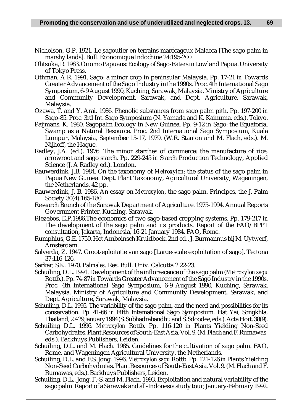- Nicholson, G.P. 1921. Le sagoutier en terrains marécageux Malacca [The sago palm in marshy lands]. Bull. Économique Indochine 24:195-200.
- Ohtsuka, R. 1983. Oriomo Papuans: Ecology of Sago-Eaters in Lowland Papua. University of Tokyo Press.
- Othman, A.R. 1991. Sago: a minor crop in peninsular Malaysia. Pp. 17-21 *in* Towards Greater Advancement of the Sago Industry in the 1990s. Proc. 4th International Sago Symposium, 6-9 August 1990, Kuching, Sarawak, Malaysia. Ministry of Agriculture and Community Development, Sarawak, and Dept. Agriculture, Sarawak, Malaysia.
- Ozawa, T. and Y. Arai. 1986. Phenolic substances from sago palm pith. Pp. 197-200 *in* Sago-85. Proc. 3rd Int. Sago Symposium (N. Yamada and K. Kainuma, eds.). Tokyo.
- Paijmans, K. 1980. Sagopalm Ecology in New Guinea. Pp. 9-12 *in* Sago: the Equatorial Swamp as a Natural Resource. Proc. 2nd International Sago Symposium, Kuala Lumpur, Malaysia, September 15-17, 1979. (W.R. Stanton and M. Flach, eds.). M. Nijhoff, the Hague.
- Radley, J.A. (ed.). 1976. The minor starches of commerce: the manufacture of rice, arrowroot and sago starch. Pp. 229-245 *in* Starch Production Technology, Applied Science (J. A Radley ed.). London.
- Rauwerdink, J.B. 1984. On the taxonomy of *Metroxylon*: the status of the sago palm in Papua New Guinea. Dept. Plant Taxonomy, Agricultural University, Wageningen, the Netherlands. 42 pp.
- Rauwerdink, J. B. 1986. An essay on *Metroxylon*, the sago palm. Principes, the J. Palm Society 30(4):165-180.
- Research Branch of the Sarawak Department of Agriculture. 1975-1994. Annual Reports Government Printer, Kuching, Sarawak.
- Riezebos, E.P.1986.The economics of two sago-based cropping systems. Pp. 179-217 *in* The development of the sago palm and its products. Report of the FAO/BPPT consultation, Jakarta, Indonesia, 16-21 January 1984. FAO, Rome.
- Rumphius, G.E. 1750. Het Amboinsch Kruidboek. 2nd ed., J. Burmannus bij M. Uytwerf, Amsterdam.
- Salverda, Z. 1947. Groot-eploitatie van sago [Large-scale exploitation of sago]. Tectona 37:116-126.
- Sarkar, S.K. 1970. *Palmales*. Res. Bull. Univ. Calcutta 2:22-23.
- Schuiling, D.L. 1991. Development of the inflorescence of the sago palm (*Metroxylon sagu* Rottb.). Pp. 74-87 *in* Towards Greater Advancement of the Sago Industry in the 1990s. Proc. 4th International Sago Symposium, 6-9 August 1990, Kuching, Sarawak, Malaysia. Ministry of Agriculture and Community Development, Sarawak, and Dept. Agriculture, Sarawak, Malaysia.
- Schuiling, D.L. 1995. The variability of the sago palm, and the need and possibilities for its conservation. Pp. 41-66 *in* Fifth International Sago Symposium. Hat Yai, Songkhla, Thailand, 27-29 January 1994 (S. Subhadrabandhu and S. Sdoodee, eds.). Acta Hort. 38(9).
- Schuiling D.L. 1996. *Metroxylon* Rottb. Pp. 116-120 *in* Plants Yielding Non-Seed Carbohydrates. Plant Resources of South-East Asia, Vol. 9. (M. Flach and F. Rumawas, eds.). Backhuys Publishers, Leiden.
- Schuiling, D.L. and M. Flach. 1985. Guidelines for the cultivation of sago palm. FAO, Rome, and Wageningen Agricultural University, the Netherlands.
- Schuiling, D.L. and F.S. Jong. 1996. *Metroxylon sagu* Rottb. Pp. 121-126 *in* Plants Yielding Non-Seed Carbohydrates. Plant Resources of South-East Asia, Vol. 9. (M. Flach and F. Rumawas, eds.). Backhuys Publishers, Leiden.
- Schuiling, D.L., Jong, F.-S. and M. Flach. 1993. Exploitation and natural variability of the sago palm. Report of a Sarawak and all-Indonesia study tour, January-February 1992.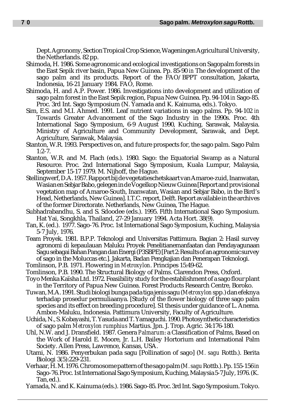Dept. Agronomy, Section Tropical Crop Science, Wageningen Agricultural University, the Netherlands. 82 pp.

- Shimoda, H. 1986. Some agronomic and ecological investigations on Sagopalm forests in the East Sepik river basin, Papua New Guinea. Pp. 85-90 *in* The development of the sago palm and its products. Report of the FAO/BPPT consultation, Jakarta, Indonesia, 16-21 January 1984. FAO, Rome.
- Shimoda, H. and A.P. Power. 1986. Investigations into development and utilization of sago palm forest in the East Sepik region, Papua New Guinea. Pp. 94-104 *in* Sago-85. Proc. 3rd Int. Sago Symposium (N. Yamada and K. Kainuma, eds.). Tokyo.
- Sim, E.S. and M.I. Ahmed. 1991. Leaf nutrient variations in sago palms. Pp. 94-102 *in* Towards Greater Advancement of the Sago Industry in the 1990s. Proc. 4th International Sago Symposium, 6-9 August 1990, Kuching, Sarawak, Malaysia. Ministry of Agriculture and Community Development, Sarawak, and Dept. Agriculture, Sarawak, Malaysia.
- Stanton, W.R. 1993. Perspectives on, and future prospects for, the sago palm. Sago Palm 1:2-7.
- Stanton, W.R. and M. Flach (eds.). 1980. Sago: the Equatorial Swamp as a Natural Resource. Proc. 2nd International Sago Symposium, Kuala Lumpur, Malaysia, September 15-17 1979. M. Nijhoff, the Hague.
- Stellingwerf, D.A. 1957. Rapport bij de vegetatieschetskaart van Amaroe-zuid, Inanwatan, Wasian en Sebjar Babo, gelegen in de Vogelkop Nieuw Guinea [Report and provisional vegetation map of Amaroe-South, Inanwatan, Wasian and Sebjar Babo, in the Bird's Head, Netherlands, New Guinea]. I.T.C. report, Delft. Report available in the archives of the former Directorate. Netherlands, New Guinea, The Hague.
- Subhadrabandhu, S. and S. Sdoodee (eds.). 1995. Fifth International Sago Symposium. Hat Yai, Songkhla, Thailand, 27-29 January 1994. Acta Hort. 38(9).
- Tan, K. (ed.). 1977. Sago-76. Proc. 1st International Sago Symposium, Kuching, Malaysia 5-7 July, 1976.
- Team Proyek. 1981. B.P.P. Teknologi and Universitas Pattimura. Bagian 2: Hasil survey agronomi di kepaulauan Maluku Proyek Penelitianemanfaatan dan Pendayagunaan Sagu sebagai Bahan Pangan dan Energi (P3SBPE) [Part 2: Results of an agronomic survey of sago in the Moluccas etc.]. Jakarta, Badan Pengkajian dan Penerapan Teknologi.
- Tomlinson, P.B. 1971. Flowering in *Metroxylon*. Principes 15:49-62.
- Tomlinson, P.B. 1990. The Structural Biology of Palms. Clarendon Press, Oxford.
- Toyo Menka Kaïsha Ltd. 1972. Feasibility study for the establishment of a sago flour plant in the Territory of Papua New Guinea. Forest Products Research Centre, Boroko.
- Tuwan, M.A. 1991. Studi biologi bunga pada tiga jenis sagu (*Metroxylon* spp*.*) dan efeknya terhadap prosedur permuliaanya. [Study of the flower biology of three sago palm species and its effect on breeding procedure]. S1 thesis under guidance of L. Anema. Ambon-Maluku, Indonesia. Pattimura University, Faculty of Agriculture.
- Uchida, N., S. Kobayashi, T. Yasuda and T. Yamaguchi. 1990. Photosynthetic characteristics of sago palm *Metroxylon rumphius* Martius. Jpn. J. Trop. Agric. 34:176-180.
- Uhl, N.W. and J. Dransfield. 1987. Genera *Palmarum*: a Classification of Palms, Based on the Work of Harold E. Moore, Jr. L.H. Bailey Hortorium and International Palm Society. Allen Press, Lawrence, Kansas, USA.
- Utami, N. 1986. Penyerbukan pada sagu [Pollination of sago] (*M. sagu* Rottb.). Berita Biologi 3(5):229-231.
- Verhaar, H. M. 1976. Chromosome pattern of the sago palm (*M. sagu* Rottb.). Pp. 155-156 *in* Sago-76. Proc. 1st International Sago Symposium, Kuching, Malaysia 5-7 July, 1976. (K. Tan, ed.).
- Yamada, N. and K. Kainuma (eds.). 1986. Sago-85. Proc. 3rd Int. Sago Symposium. Tokyo.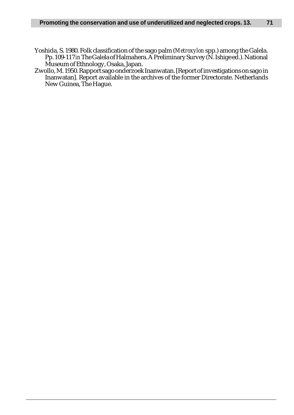- Yoshida, S. 1980. Folk classification of the sago palm (*Metroxylon* spp.) among the Galela. Pp. 109-117 *in* The Galela of Halmahera. A Preliminary Survey (N. Ishige ed.). National Museum of Ethnology, Osaka, Japan.
- Zwollo, M. 1950. Rapport sago onderzoek Inanwatan. [Report of investigations on sago in Inanwatan]. Report available in the archives of the former Directorate. Netherlands New Guinea, The Hague.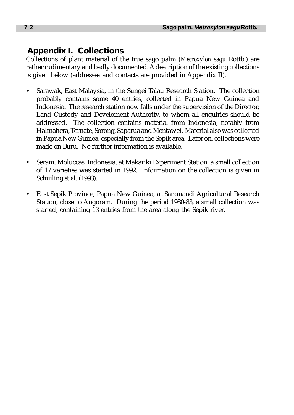# **Appendix I. Collections**

Collections of plant material of the true sago palm (*Metroxylon sagu* Rottb.) are rather rudimentary and badly documented. A description of the existing collections is given below (addresses and contacts are provided in Appendix II).

- Sarawak, East Malaysia, in the Sungei Talau Research Station. The collection probably contains some 40 entries, collected in Papua New Guinea and Indonesia. The research station now falls under the supervision of the Director, Land Custody and Develoment Authority, to whom all enquiries should be addressed. The collection contains material from Indonesia, notably from Halmahera, Ternate, Sorong, Saparua and Mentawei. Material also was collected in Papua New Guinea, especially from the Sepik area. Later on, collections were made on Buru. No further information is available.
- Seram, Moluccas, Indonesia, at Makariki Experiment Station; a small collection of 17 varieties was started in 1992. Information on the collection is given in Schuiling *et al.* (1993).
- East Sepik Province, Papua New Guinea, at Saramandi Agricultural Research Station, close to Angoram. During the period 1980-83, a small collection was started, containing 13 entries from the area along the Sepik river.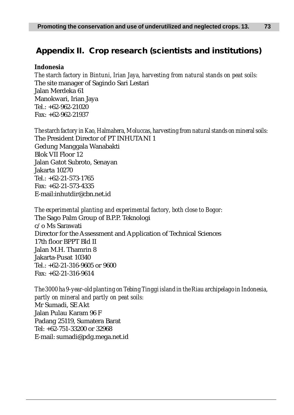# **Appendix II. Crop research (scientists and institutions)**

## **Indonesia**

*The starch factory in Bintuni, Irian Jaya, harvesting from natural stands on peat soils:* The site manager of Sagindo Sari Lestari Jalan Merdeka 61 Manokwari, Irian Jaya Tel.: +62-962-21020 Fax: +62-962-21937

*The starch factory in Kao, Halmahera, Moluccas, harvesting from natural stands on mineral soils:* The President Director of PT INHUTANI 1 Gedung Manggala Wanabakti Blok VII Floor 12 Jalan Gatot Subroto, Senayan Jakarta 10270  $Tel: +62-21-573-1765$ Fax: +62-21-573-4335 E-mail:inhutdir@cbn.net.id

*The experimental planting and experimental factory, both close to Bogor:* The Sago Palm Group of B.P.P. Teknologi c/o Ms Sarawati Director for the Assessment and Application of Technical Sciences 17th floor BPPT Bld II Jalan M.H. Thamrin 8 Jakarta-Pusat 10340 Tel.: +62-21-316-9605 or 9600 Fax: +62-21-316-9614

*The 3000 ha 9-year-old planting on Tebing Tinggi island in the Riau archipelago in Indonesia, partly on mineral and partly on peat soils:* Mr Sumadi, SE Akt Jalan Pulau Karam 96 F Padang 25119, Sumatera Barat Tel: +62-751-33200 or 32968 E-mail: sumadi@pdg.mega.net.id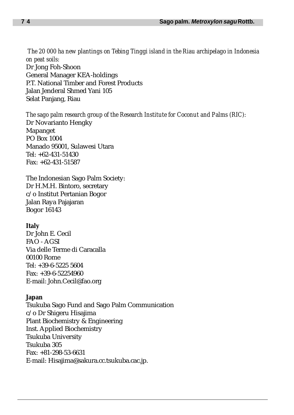*The 20 000 ha new plantings on Tebing Tinggi island in the Riau archipelago in Indonesia on peat soils:* Dr Jong Foh-Shoon General Manager KEA-holdings P.T. National Timber and Forest Products Jalan Jenderal Shmed Yani 105 Selat Panjang, Riau

*The sago palm research group of the Research Institute for Coconut and Palms (RIC):* Dr Novarianto Hengky Mapanget PO Box 1004 Manado 95001, Sulawesi Utara Tel: +62-431-51430 Fax: +62-431-51587

The Indonesian Sago Palm Society: Dr H.M.H. Bintoro, secretary c/o Institut Pertanian Bogor Jalan Raya Pajajaran Bogor 16143

#### **Italy**

Dr John E. Cecil FAO - AGSI Via delle Terme di Caracalla 00100 Rome Tel: +39-6-5225 5604 Fax: +39-6-52254960 E-mail: John.Cecil@fao.org

#### **Japan**

Tsukuba Sago Fund and Sago Palm Communication c/o Dr Shigeru Hisajima Plant Biochemistry & Engineering Inst. Applied Biochemistry Tsukuba University Tsukuba 305 Fax: +81-298-53-6631 E-mail: Hisajima@sakura.cc.tsukuba.cac.jp.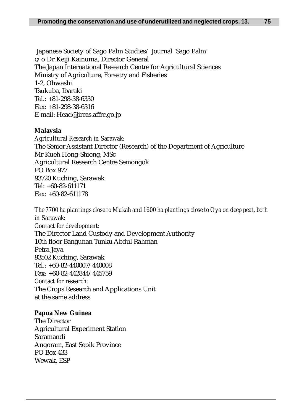Japanese Society of Sago Palm Studies/ Journal 'Sago Palm' c/o Dr Keiji Kainuma, Director General The Japan International Research Centre for Agricultural Sciences Ministry of Agriculture, Forestry and Fisheries 1-2, Ohwashi Tsukuba, Ibaraki Tel.: +81-298-38-6330 Fax: +81-298-38-6316 E-mail: Head@jircas.affrc.go.jp

## **Malaysia**

*Agricultural Research in Sarawak:* The Senior Assistant Director (Research) of the Department of Agriculture Mr Kueh Hong-Shiong, MSc Agricultural Research Centre Semongok PO Box 977 93720 Kuching, Sarawak Tel: +60-82-611171 Fax: +60-82-611178

*The 7700 ha plantings close to Mukah and 1600 ha plantings close to Oya on deep peat, both in Sarawak: Contact for development:* The Director Land Custody and Development Authority 10th floor Bangunan Tunku Abdul Rahman Petra Jaya 93502 Kuching, Sarawak Tel.: +60-82-440007/440008 Fax: +60-82-442844/445759 *Contact for research:* The Crops Research and Applications Unit at the same address

# **Papua New Guinea**

The Director Agricultural Experiment Station Saramandi Angoram, East Sepik Province PO Box 433 Wewak, ESP